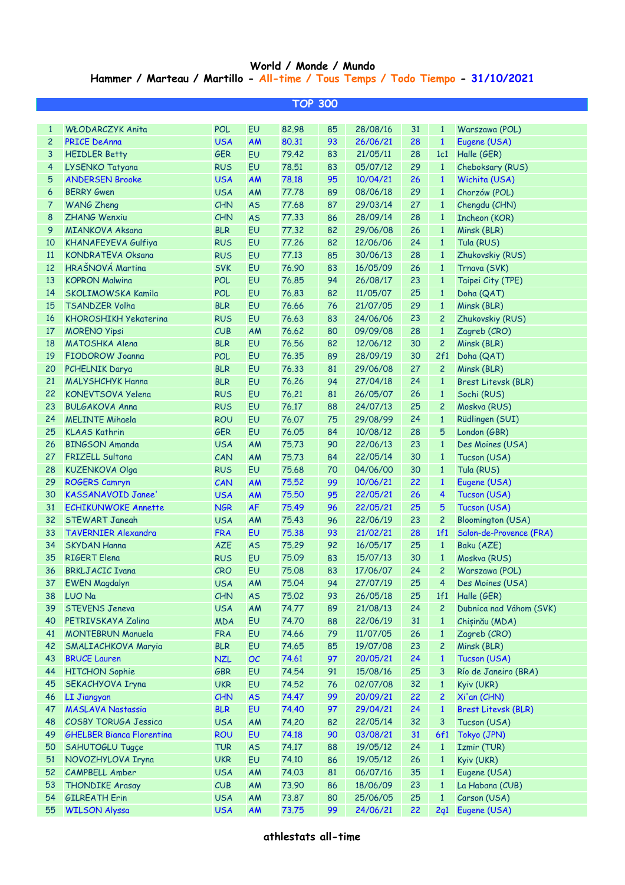## **World / Monde / Mundo Hammer / Marteau / Martillo - All-time / Tous Temps / Todo Tiempo - 31/10/2021**

| <b>TOP 300</b> |                                  |            |           |       |    |          |    |                |                            |  |  |
|----------------|----------------------------------|------------|-----------|-------|----|----------|----|----------------|----------------------------|--|--|
|                |                                  |            |           |       |    |          |    |                |                            |  |  |
| $\mathbf{1}$   | <b>WŁODARCZYK Anita</b>          | <b>POL</b> | EU        | 82.98 | 85 | 28/08/16 | 31 | $\mathbf{1}$   | Warszawa (POL)             |  |  |
| $\overline{c}$ | <b>PRICE DeAnna</b>              | <b>USA</b> | AM        | 80.31 | 93 | 26/06/21 | 28 | $\mathbf{1}$   | Eugene (USA)               |  |  |
| 3              | <b>HEIDLER Betty</b>             | <b>GER</b> | EU        | 79.42 | 83 | 21/05/11 | 28 | 1c1            | Halle (GER)                |  |  |
| $\overline{4}$ | LYSENKO Tatyana                  | <b>RUS</b> | EU        | 78.51 | 83 | 05/07/12 | 29 | $\mathbf{1}$   | Cheboksary (RUS)           |  |  |
| $\sqrt{5}$     | <b>ANDERSEN Brooke</b>           | <b>USA</b> | <b>AM</b> | 78.18 | 95 | 10/04/21 | 26 | $\mathbf{1}$   | Wichita (USA)              |  |  |
| 6              | <b>BERRY Gwen</b>                | <b>USA</b> | AM        | 77.78 | 89 | 08/06/18 | 29 | $\mathbf{1}$   | Chorzów (POL)              |  |  |
| $\overline{7}$ | <b>WANG Zheng</b>                | CHN        | <b>AS</b> | 77.68 | 87 | 29/03/14 | 27 | $\mathbf{1}$   | Chengdu (CHN)              |  |  |
| 8              | <b>ZHANG Wenxiu</b>              | CHN        | <b>AS</b> | 77.33 | 86 | 28/09/14 | 28 | $\mathbf{1}$   | Incheon (KOR)              |  |  |
| 9              | <b>MIANKOVA Aksana</b>           | <b>BLR</b> | EU        | 77.32 | 82 | 29/06/08 | 26 | $\mathbf{1}$   | Minsk (BLR)                |  |  |
| 10             | KHANAFEYEVA Gulfiya              | <b>RUS</b> | EU        | 77.26 | 82 | 12/06/06 | 24 | $\mathbf{1}$   | Tula (RUS)                 |  |  |
| 11             | <b>KONDRATEVA Oksana</b>         | <b>RUS</b> | EU        | 77.13 | 85 | 30/06/13 | 28 | $\mathbf{1}$   | Zhukovskiy (RUS)           |  |  |
| 12             | HRAŠNOVÁ Martina                 | <b>SVK</b> | EU        | 76.90 | 83 | 16/05/09 | 26 | $\mathbf{1}$   | Trnava (SVK)               |  |  |
| 13             | <b>KOPRON Malwina</b>            | <b>POL</b> | EU        | 76.85 | 94 | 26/08/17 | 23 | $\mathbf{1}$   | Taipei City (TPE)          |  |  |
| 14             | SKOLIMOWSKA Kamila               | <b>POL</b> | EU        | 76.83 | 82 | 11/05/07 | 25 | $\mathbf{1}$   | Doha (QAT)                 |  |  |
| 15             | <b>TSANDZER Volha</b>            | <b>BLR</b> | EU        | 76.66 | 76 | 21/07/05 | 29 | $\mathbf{1}$   | Minsk (BLR)                |  |  |
| 16             | <b>KHOROSHIKH Yekaterina</b>     | <b>RUS</b> | EU        | 76.63 | 83 | 24/06/06 | 23 | $\overline{c}$ | Zhukovskiy (RUS)           |  |  |
| 17             | <b>MORENO Yipsi</b>              | CUB        | AM        | 76.62 | 80 | 09/09/08 | 28 | $\mathbf{1}$   | Zagreb (CRO)               |  |  |
| 18             | MATOSHKA Alena                   | <b>BLR</b> | EU        | 76.56 | 82 | 12/06/12 | 30 | $\overline{c}$ | Minsk (BLR)                |  |  |
| 19             | <b>FIODOROW Joanna</b>           | <b>POL</b> | EU        | 76.35 | 89 | 28/09/19 | 30 | 2f1            | Doha (QAT)                 |  |  |
| 20             | <b>PCHELNIK Darya</b>            | <b>BLR</b> | EU        | 76.33 | 81 | 29/06/08 | 27 | $\overline{c}$ | Minsk (BLR)                |  |  |
| 21             | <b>MALYSHCHYK Hanna</b>          | <b>BLR</b> | EU        | 76.26 | 94 | 27/04/18 | 24 | $\mathbf{1}$   | Brest Litevsk (BLR)        |  |  |
| 22             | KONEVTSOVA Yelena                | <b>RUS</b> | EU        | 76.21 | 81 | 26/05/07 | 26 | $\mathbf{1}$   | Sochi (RUS)                |  |  |
| 23             | <b>BULGAKOVA Anna</b>            | <b>RUS</b> | EU        | 76.17 | 88 | 24/07/13 | 25 | $\overline{c}$ | Moskva (RUS)               |  |  |
| 24             | <b>MELINTE Mihaela</b>           | <b>ROU</b> | EU        | 76.07 | 75 | 29/08/99 | 24 | $\mathbf{1}$   | Rüdlingen (SUI)            |  |  |
| 25             | <b>KLAAS Kathrin</b>             | <b>GER</b> | EU        | 76.05 | 84 | 10/08/12 | 28 | 5              | London (GBR)               |  |  |
| 26             | <b>BINGSON Amanda</b>            | <b>USA</b> | AM        | 75.73 | 90 | 22/06/13 | 23 | $\mathbf{1}$   | Des Moines (USA)           |  |  |
| 27             | <b>FRIZELL Sultana</b>           | CAN        | AM        | 75.73 | 84 | 22/05/14 | 30 | $\mathbf{1}$   | Tucson (USA)               |  |  |
| 28             | <b>KUZENKOVA Olga</b>            | <b>RUS</b> | EU        | 75.68 | 70 | 04/06/00 | 30 | $\mathbf{1}$   | Tula (RUS)                 |  |  |
| 29             | <b>ROGERS Camryn</b>             | CAN        | <b>AM</b> | 75.52 | 99 | 10/06/21 | 22 | $\mathbf{1}$   | Eugene (USA)               |  |  |
| 30             | <b>KASSANAVOID Janee</b>         | <b>USA</b> | <b>AM</b> | 75.50 | 95 | 22/05/21 | 26 | 4              | Tucson (USA)               |  |  |
| 31             | <b>ECHIKUNWOKE Annette</b>       | <b>NGR</b> | <b>AF</b> | 75.49 | 96 | 22/05/21 | 25 | 5              | Tucson (USA)               |  |  |
| 32             | <b>STEWART Janeah</b>            | <b>USA</b> | AM        | 75.43 | 96 | 22/06/19 | 23 | $\overline{c}$ | <b>Bloomington (USA)</b>   |  |  |
| 33             | <b>TAVERNIER Alexandra</b>       | <b>FRA</b> | EU        | 75.38 | 93 | 21/02/21 | 28 | 1f1            | Salon-de-Provence (FRA)    |  |  |
| 34             | <b>SKYDAN Hanna</b>              | <b>AZE</b> | <b>AS</b> | 75.29 | 92 | 16/05/17 | 25 | $\mathbf{1}$   | Baku (AZE)                 |  |  |
| 35             | <b>RIGERT Elena</b>              | <b>RUS</b> | EU        | 75.09 | 83 | 15/07/13 | 30 | $\mathbf{1}$   | Moskva (RUS)               |  |  |
| 36             | <b>BRKLJACIC Ivana</b>           | <b>CRO</b> | EU        | 75,08 | 83 | 17/06/07 | 24 | 2              | Warszawa (POL)             |  |  |
| 37             | <b>EWEN Magdalyn</b>             | <b>USA</b> | AM        | 75.04 | 94 | 27/07/19 | 25 | 4              | Des Moines (USA)           |  |  |
| 38             | LUO Na                           | CHN        | <b>AS</b> | 75.02 | 93 | 26/05/18 | 25 | 1f1            | Halle (GER)                |  |  |
| 39             | <b>STEVENS Jeneva</b>            | <b>USA</b> | AM        | 74.77 | 89 | 21/08/13 | 24 | $\overline{c}$ | Dubnica nad Váhom (SVK)    |  |  |
| 40             | PETRIVSKAYA Zalina               | <b>MDA</b> | EU        | 74.70 | 88 | 22/06/19 | 31 | $\mathbf{1}$   | Chișinău (MDA)             |  |  |
| 41             | <b>MONTEBRUN Manuela</b>         | <b>FRA</b> | EU        | 74.66 | 79 | 11/07/05 | 26 | $\mathbf{1}$   | Zagreb (CRO)               |  |  |
| 42             | SMALIACHKOVA Maryia              | <b>BLR</b> | EU        | 74.65 | 85 | 19/07/08 | 23 | $\mathbf{2}$   | Minsk (BLR)                |  |  |
| 43             | <b>BRUCE Lauren</b>              | <b>NZL</b> | OC        | 74.61 | 97 | 20/05/21 | 24 | $\mathbf{1}$   | Tucson (USA)               |  |  |
| 44             | <b>HITCHON Sophie</b>            | <b>GBR</b> | EU        | 74.54 | 91 | 15/08/16 | 25 | 3              | Río de Janeiro (BRA)       |  |  |
| 45             | SEKACHYOVA Iryna                 | <b>UKR</b> | EU        | 74.52 | 76 | 02/07/08 | 32 | $\mathbf{1}$   | Kyiv (UKR)                 |  |  |
| 46             | <b>LI Jiangyan</b>               | <b>CHN</b> | <b>AS</b> | 74.47 | 99 | 20/09/21 | 22 | $\overline{c}$ | Xi'an (CHN)                |  |  |
| 47             | <b>MASLAVA Nastassia</b>         | <b>BLR</b> | EU        | 74.40 | 97 | 29/04/21 | 24 | $\mathbf{1}$   | <b>Brest Litevsk (BLR)</b> |  |  |
| 48             | <b>COSBY TORUGA Jessica</b>      | <b>USA</b> | AM        | 74.20 | 82 | 22/05/14 | 32 | 3              | Tucson (USA)               |  |  |
| 49             | <b>GHELBER Bianca Florentina</b> | <b>ROU</b> | EU        | 74.18 | 90 | 03/08/21 | 31 | 6f1            | Tokyo (JPN)                |  |  |
| 50             | SAHUTOGLU Tugçe                  | <b>TUR</b> | <b>AS</b> | 74.17 | 88 | 19/05/12 | 24 | $\mathbf{1}$   | Izmir (TUR)                |  |  |
| 51             | NOVOZHYLOVA Iryna                | <b>UKR</b> | EU        | 74.10 | 86 | 19/05/12 | 26 | $\mathbf{1}$   | Kyiv (UKR)                 |  |  |
| 52             | <b>CAMPBELL Amber</b>            | <b>USA</b> | AM        | 74.03 | 81 | 06/07/16 | 35 | $\mathbf{1}$   | Eugene (USA)               |  |  |
| 53             | <b>THONDIKE Arasay</b>           | CUB        | AM        | 73.90 | 86 | 18/06/09 | 23 | $\mathbf{1}$   | La Habana (CUB)            |  |  |
| 54             | <b>GILREATH Erin</b>             | <b>USA</b> | AM        | 73.87 | 80 | 25/06/05 | 25 | $\mathbf{1}$   | Carson (USA)               |  |  |
| 55             | <b>WILSON Alyssa</b>             | <b>USA</b> | <b>AM</b> | 73.75 | 99 | 24/06/21 | 22 | 2q1            | Eugene (USA)               |  |  |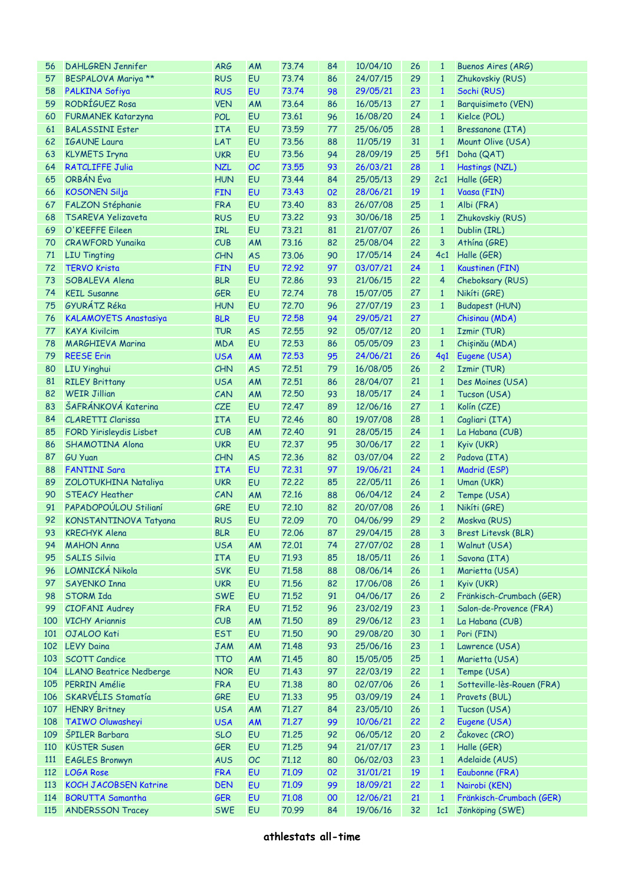| <b>DAHLGREN Jennifer</b>       | <b>ARG</b>                                                                                                                                                                                                                                                                                                                                                                                                                                                                                                                                                                                                                                                                                                                                                                                                                                                                                                                                                                   | AM                                                                                                                                                                                                                                                                                                                                                                                                                                                                                                                                 | 73.74                                                                                                                                                                                                                                                                                                                                                                                                    | 84                                                                                                                                                                                                                                                                                                                                                                            | 10/04/10                                                                                                                                                                                                                         | 26                                                                                                                                                                                                                                                                                                                                                                                                                                           | $\mathbf{1}$                                                                                                                                                                                                                     | <b>Buenos Aires (ARG)</b>                                                                                                                                                                                                                                                                                                                                                                                                                                      |
|--------------------------------|------------------------------------------------------------------------------------------------------------------------------------------------------------------------------------------------------------------------------------------------------------------------------------------------------------------------------------------------------------------------------------------------------------------------------------------------------------------------------------------------------------------------------------------------------------------------------------------------------------------------------------------------------------------------------------------------------------------------------------------------------------------------------------------------------------------------------------------------------------------------------------------------------------------------------------------------------------------------------|------------------------------------------------------------------------------------------------------------------------------------------------------------------------------------------------------------------------------------------------------------------------------------------------------------------------------------------------------------------------------------------------------------------------------------------------------------------------------------------------------------------------------------|----------------------------------------------------------------------------------------------------------------------------------------------------------------------------------------------------------------------------------------------------------------------------------------------------------------------------------------------------------------------------------------------------------|-------------------------------------------------------------------------------------------------------------------------------------------------------------------------------------------------------------------------------------------------------------------------------------------------------------------------------------------------------------------------------|----------------------------------------------------------------------------------------------------------------------------------------------------------------------------------------------------------------------------------|----------------------------------------------------------------------------------------------------------------------------------------------------------------------------------------------------------------------------------------------------------------------------------------------------------------------------------------------------------------------------------------------------------------------------------------------|----------------------------------------------------------------------------------------------------------------------------------------------------------------------------------------------------------------------------------|----------------------------------------------------------------------------------------------------------------------------------------------------------------------------------------------------------------------------------------------------------------------------------------------------------------------------------------------------------------------------------------------------------------------------------------------------------------|
| BESPALOVA Mariya **            | <b>RUS</b>                                                                                                                                                                                                                                                                                                                                                                                                                                                                                                                                                                                                                                                                                                                                                                                                                                                                                                                                                                   | <b>EU</b>                                                                                                                                                                                                                                                                                                                                                                                                                                                                                                                          | 73.74                                                                                                                                                                                                                                                                                                                                                                                                    | 86                                                                                                                                                                                                                                                                                                                                                                            | 24/07/15                                                                                                                                                                                                                         | 29                                                                                                                                                                                                                                                                                                                                                                                                                                           | $\mathbf{1}$                                                                                                                                                                                                                     | Zhukovskiy (RUS)                                                                                                                                                                                                                                                                                                                                                                                                                                               |
| PALKINA Sofiya                 | <b>RUS</b>                                                                                                                                                                                                                                                                                                                                                                                                                                                                                                                                                                                                                                                                                                                                                                                                                                                                                                                                                                   | <b>EU</b>                                                                                                                                                                                                                                                                                                                                                                                                                                                                                                                          | 73.74                                                                                                                                                                                                                                                                                                                                                                                                    | 98                                                                                                                                                                                                                                                                                                                                                                            | 29/05/21                                                                                                                                                                                                                         | 23                                                                                                                                                                                                                                                                                                                                                                                                                                           | $\mathbf{1}$                                                                                                                                                                                                                     | Sochi (RUS)                                                                                                                                                                                                                                                                                                                                                                                                                                                    |
| RODRÍGUEZ Rosa                 | <b>VEN</b>                                                                                                                                                                                                                                                                                                                                                                                                                                                                                                                                                                                                                                                                                                                                                                                                                                                                                                                                                                   | AM                                                                                                                                                                                                                                                                                                                                                                                                                                                                                                                                 | 73.64                                                                                                                                                                                                                                                                                                                                                                                                    | 86                                                                                                                                                                                                                                                                                                                                                                            | 16/05/13                                                                                                                                                                                                                         | 27                                                                                                                                                                                                                                                                                                                                                                                                                                           | $\mathbf{1}$                                                                                                                                                                                                                     | Barquisimeto (VEN)                                                                                                                                                                                                                                                                                                                                                                                                                                             |
| <b>FURMANEK Katarzyna</b>      | <b>POL</b>                                                                                                                                                                                                                                                                                                                                                                                                                                                                                                                                                                                                                                                                                                                                                                                                                                                                                                                                                                   | EU                                                                                                                                                                                                                                                                                                                                                                                                                                                                                                                                 | 73.61                                                                                                                                                                                                                                                                                                                                                                                                    | 96                                                                                                                                                                                                                                                                                                                                                                            | 16/08/20                                                                                                                                                                                                                         | 24                                                                                                                                                                                                                                                                                                                                                                                                                                           | $\mathbf{1}$                                                                                                                                                                                                                     | Kielce (POL)                                                                                                                                                                                                                                                                                                                                                                                                                                                   |
| <b>BALASSINI Ester</b>         | <b>ITA</b>                                                                                                                                                                                                                                                                                                                                                                                                                                                                                                                                                                                                                                                                                                                                                                                                                                                                                                                                                                   | <b>EU</b>                                                                                                                                                                                                                                                                                                                                                                                                                                                                                                                          | 73.59                                                                                                                                                                                                                                                                                                                                                                                                    | 77                                                                                                                                                                                                                                                                                                                                                                            | 25/06/05                                                                                                                                                                                                                         | 28                                                                                                                                                                                                                                                                                                                                                                                                                                           | $\mathbf{1}$                                                                                                                                                                                                                     | Bressanone (ITA)                                                                                                                                                                                                                                                                                                                                                                                                                                               |
| <b>IGAUNE Laura</b>            |                                                                                                                                                                                                                                                                                                                                                                                                                                                                                                                                                                                                                                                                                                                                                                                                                                                                                                                                                                              | <b>EU</b>                                                                                                                                                                                                                                                                                                                                                                                                                                                                                                                          |                                                                                                                                                                                                                                                                                                                                                                                                          |                                                                                                                                                                                                                                                                                                                                                                               | 11/05/19                                                                                                                                                                                                                         | 31                                                                                                                                                                                                                                                                                                                                                                                                                                           | $\mathbf{1}$                                                                                                                                                                                                                     | Mount Olive (USA)                                                                                                                                                                                                                                                                                                                                                                                                                                              |
|                                |                                                                                                                                                                                                                                                                                                                                                                                                                                                                                                                                                                                                                                                                                                                                                                                                                                                                                                                                                                              |                                                                                                                                                                                                                                                                                                                                                                                                                                                                                                                                    |                                                                                                                                                                                                                                                                                                                                                                                                          | 94                                                                                                                                                                                                                                                                                                                                                                            | 28/09/19                                                                                                                                                                                                                         |                                                                                                                                                                                                                                                                                                                                                                                                                                              |                                                                                                                                                                                                                                  | Doha (QAT)                                                                                                                                                                                                                                                                                                                                                                                                                                                     |
|                                |                                                                                                                                                                                                                                                                                                                                                                                                                                                                                                                                                                                                                                                                                                                                                                                                                                                                                                                                                                              |                                                                                                                                                                                                                                                                                                                                                                                                                                                                                                                                    |                                                                                                                                                                                                                                                                                                                                                                                                          |                                                                                                                                                                                                                                                                                                                                                                               |                                                                                                                                                                                                                                  |                                                                                                                                                                                                                                                                                                                                                                                                                                              |                                                                                                                                                                                                                                  | Hastings (NZL)                                                                                                                                                                                                                                                                                                                                                                                                                                                 |
|                                |                                                                                                                                                                                                                                                                                                                                                                                                                                                                                                                                                                                                                                                                                                                                                                                                                                                                                                                                                                              |                                                                                                                                                                                                                                                                                                                                                                                                                                                                                                                                    |                                                                                                                                                                                                                                                                                                                                                                                                          |                                                                                                                                                                                                                                                                                                                                                                               |                                                                                                                                                                                                                                  |                                                                                                                                                                                                                                                                                                                                                                                                                                              |                                                                                                                                                                                                                                  | Halle (GER)                                                                                                                                                                                                                                                                                                                                                                                                                                                    |
|                                |                                                                                                                                                                                                                                                                                                                                                                                                                                                                                                                                                                                                                                                                                                                                                                                                                                                                                                                                                                              |                                                                                                                                                                                                                                                                                                                                                                                                                                                                                                                                    |                                                                                                                                                                                                                                                                                                                                                                                                          |                                                                                                                                                                                                                                                                                                                                                                               |                                                                                                                                                                                                                                  |                                                                                                                                                                                                                                                                                                                                                                                                                                              |                                                                                                                                                                                                                                  | Vaasa (FIN)                                                                                                                                                                                                                                                                                                                                                                                                                                                    |
|                                |                                                                                                                                                                                                                                                                                                                                                                                                                                                                                                                                                                                                                                                                                                                                                                                                                                                                                                                                                                              |                                                                                                                                                                                                                                                                                                                                                                                                                                                                                                                                    |                                                                                                                                                                                                                                                                                                                                                                                                          |                                                                                                                                                                                                                                                                                                                                                                               |                                                                                                                                                                                                                                  |                                                                                                                                                                                                                                                                                                                                                                                                                                              |                                                                                                                                                                                                                                  | Albi (FRA)                                                                                                                                                                                                                                                                                                                                                                                                                                                     |
|                                |                                                                                                                                                                                                                                                                                                                                                                                                                                                                                                                                                                                                                                                                                                                                                                                                                                                                                                                                                                              |                                                                                                                                                                                                                                                                                                                                                                                                                                                                                                                                    |                                                                                                                                                                                                                                                                                                                                                                                                          |                                                                                                                                                                                                                                                                                                                                                                               |                                                                                                                                                                                                                                  |                                                                                                                                                                                                                                                                                                                                                                                                                                              |                                                                                                                                                                                                                                  | Zhukovskiy (RUS)                                                                                                                                                                                                                                                                                                                                                                                                                                               |
|                                |                                                                                                                                                                                                                                                                                                                                                                                                                                                                                                                                                                                                                                                                                                                                                                                                                                                                                                                                                                              |                                                                                                                                                                                                                                                                                                                                                                                                                                                                                                                                    |                                                                                                                                                                                                                                                                                                                                                                                                          |                                                                                                                                                                                                                                                                                                                                                                               |                                                                                                                                                                                                                                  |                                                                                                                                                                                                                                                                                                                                                                                                                                              |                                                                                                                                                                                                                                  | Dublin (IRL)                                                                                                                                                                                                                                                                                                                                                                                                                                                   |
|                                |                                                                                                                                                                                                                                                                                                                                                                                                                                                                                                                                                                                                                                                                                                                                                                                                                                                                                                                                                                              |                                                                                                                                                                                                                                                                                                                                                                                                                                                                                                                                    |                                                                                                                                                                                                                                                                                                                                                                                                          |                                                                                                                                                                                                                                                                                                                                                                               |                                                                                                                                                                                                                                  |                                                                                                                                                                                                                                                                                                                                                                                                                                              |                                                                                                                                                                                                                                  | Athina (GRE)                                                                                                                                                                                                                                                                                                                                                                                                                                                   |
|                                |                                                                                                                                                                                                                                                                                                                                                                                                                                                                                                                                                                                                                                                                                                                                                                                                                                                                                                                                                                              |                                                                                                                                                                                                                                                                                                                                                                                                                                                                                                                                    |                                                                                                                                                                                                                                                                                                                                                                                                          |                                                                                                                                                                                                                                                                                                                                                                               |                                                                                                                                                                                                                                  |                                                                                                                                                                                                                                                                                                                                                                                                                                              |                                                                                                                                                                                                                                  | Halle (GER)                                                                                                                                                                                                                                                                                                                                                                                                                                                    |
|                                |                                                                                                                                                                                                                                                                                                                                                                                                                                                                                                                                                                                                                                                                                                                                                                                                                                                                                                                                                                              |                                                                                                                                                                                                                                                                                                                                                                                                                                                                                                                                    |                                                                                                                                                                                                                                                                                                                                                                                                          |                                                                                                                                                                                                                                                                                                                                                                               |                                                                                                                                                                                                                                  |                                                                                                                                                                                                                                                                                                                                                                                                                                              |                                                                                                                                                                                                                                  |                                                                                                                                                                                                                                                                                                                                                                                                                                                                |
|                                |                                                                                                                                                                                                                                                                                                                                                                                                                                                                                                                                                                                                                                                                                                                                                                                                                                                                                                                                                                              |                                                                                                                                                                                                                                                                                                                                                                                                                                                                                                                                    |                                                                                                                                                                                                                                                                                                                                                                                                          |                                                                                                                                                                                                                                                                                                                                                                               |                                                                                                                                                                                                                                  |                                                                                                                                                                                                                                                                                                                                                                                                                                              |                                                                                                                                                                                                                                  | Kaustinen (FIN)                                                                                                                                                                                                                                                                                                                                                                                                                                                |
|                                |                                                                                                                                                                                                                                                                                                                                                                                                                                                                                                                                                                                                                                                                                                                                                                                                                                                                                                                                                                              |                                                                                                                                                                                                                                                                                                                                                                                                                                                                                                                                    |                                                                                                                                                                                                                                                                                                                                                                                                          |                                                                                                                                                                                                                                                                                                                                                                               |                                                                                                                                                                                                                                  |                                                                                                                                                                                                                                                                                                                                                                                                                                              |                                                                                                                                                                                                                                  | Cheboksary (RUS)                                                                                                                                                                                                                                                                                                                                                                                                                                               |
|                                |                                                                                                                                                                                                                                                                                                                                                                                                                                                                                                                                                                                                                                                                                                                                                                                                                                                                                                                                                                              |                                                                                                                                                                                                                                                                                                                                                                                                                                                                                                                                    |                                                                                                                                                                                                                                                                                                                                                                                                          |                                                                                                                                                                                                                                                                                                                                                                               |                                                                                                                                                                                                                                  |                                                                                                                                                                                                                                                                                                                                                                                                                                              |                                                                                                                                                                                                                                  | Nikíti (GRE)                                                                                                                                                                                                                                                                                                                                                                                                                                                   |
|                                |                                                                                                                                                                                                                                                                                                                                                                                                                                                                                                                                                                                                                                                                                                                                                                                                                                                                                                                                                                              |                                                                                                                                                                                                                                                                                                                                                                                                                                                                                                                                    |                                                                                                                                                                                                                                                                                                                                                                                                          |                                                                                                                                                                                                                                                                                                                                                                               |                                                                                                                                                                                                                                  |                                                                                                                                                                                                                                                                                                                                                                                                                                              |                                                                                                                                                                                                                                  | <b>Budapest (HUN)</b>                                                                                                                                                                                                                                                                                                                                                                                                                                          |
|                                |                                                                                                                                                                                                                                                                                                                                                                                                                                                                                                                                                                                                                                                                                                                                                                                                                                                                                                                                                                              |                                                                                                                                                                                                                                                                                                                                                                                                                                                                                                                                    |                                                                                                                                                                                                                                                                                                                                                                                                          |                                                                                                                                                                                                                                                                                                                                                                               |                                                                                                                                                                                                                                  |                                                                                                                                                                                                                                                                                                                                                                                                                                              |                                                                                                                                                                                                                                  | Chisinau (MDA)                                                                                                                                                                                                                                                                                                                                                                                                                                                 |
|                                |                                                                                                                                                                                                                                                                                                                                                                                                                                                                                                                                                                                                                                                                                                                                                                                                                                                                                                                                                                              |                                                                                                                                                                                                                                                                                                                                                                                                                                                                                                                                    |                                                                                                                                                                                                                                                                                                                                                                                                          |                                                                                                                                                                                                                                                                                                                                                                               |                                                                                                                                                                                                                                  |                                                                                                                                                                                                                                                                                                                                                                                                                                              |                                                                                                                                                                                                                                  | Izmir (TUR)                                                                                                                                                                                                                                                                                                                                                                                                                                                    |
|                                |                                                                                                                                                                                                                                                                                                                                                                                                                                                                                                                                                                                                                                                                                                                                                                                                                                                                                                                                                                              |                                                                                                                                                                                                                                                                                                                                                                                                                                                                                                                                    |                                                                                                                                                                                                                                                                                                                                                                                                          |                                                                                                                                                                                                                                                                                                                                                                               |                                                                                                                                                                                                                                  |                                                                                                                                                                                                                                                                                                                                                                                                                                              |                                                                                                                                                                                                                                  | Chișinău (MDA)                                                                                                                                                                                                                                                                                                                                                                                                                                                 |
|                                |                                                                                                                                                                                                                                                                                                                                                                                                                                                                                                                                                                                                                                                                                                                                                                                                                                                                                                                                                                              |                                                                                                                                                                                                                                                                                                                                                                                                                                                                                                                                    |                                                                                                                                                                                                                                                                                                                                                                                                          |                                                                                                                                                                                                                                                                                                                                                                               |                                                                                                                                                                                                                                  |                                                                                                                                                                                                                                                                                                                                                                                                                                              |                                                                                                                                                                                                                                  | Eugene (USA)                                                                                                                                                                                                                                                                                                                                                                                                                                                   |
|                                |                                                                                                                                                                                                                                                                                                                                                                                                                                                                                                                                                                                                                                                                                                                                                                                                                                                                                                                                                                              |                                                                                                                                                                                                                                                                                                                                                                                                                                                                                                                                    |                                                                                                                                                                                                                                                                                                                                                                                                          |                                                                                                                                                                                                                                                                                                                                                                               | 16/08/05                                                                                                                                                                                                                         |                                                                                                                                                                                                                                                                                                                                                                                                                                              | 2                                                                                                                                                                                                                                | Izmir (TUR)                                                                                                                                                                                                                                                                                                                                                                                                                                                    |
| <b>RILEY Brittany</b>          |                                                                                                                                                                                                                                                                                                                                                                                                                                                                                                                                                                                                                                                                                                                                                                                                                                                                                                                                                                              | AM                                                                                                                                                                                                                                                                                                                                                                                                                                                                                                                                 |                                                                                                                                                                                                                                                                                                                                                                                                          | 86                                                                                                                                                                                                                                                                                                                                                                            | 28/04/07                                                                                                                                                                                                                         | 21                                                                                                                                                                                                                                                                                                                                                                                                                                           | $\mathbf{1}$                                                                                                                                                                                                                     | Des Moines (USA)                                                                                                                                                                                                                                                                                                                                                                                                                                               |
| <b>WEIR Jillian</b>            |                                                                                                                                                                                                                                                                                                                                                                                                                                                                                                                                                                                                                                                                                                                                                                                                                                                                                                                                                                              | AM                                                                                                                                                                                                                                                                                                                                                                                                                                                                                                                                 | 72,50                                                                                                                                                                                                                                                                                                                                                                                                    | 93                                                                                                                                                                                                                                                                                                                                                                            | 18/05/17                                                                                                                                                                                                                         | 24                                                                                                                                                                                                                                                                                                                                                                                                                                           | $\mathbf{1}$                                                                                                                                                                                                                     | Tucson (USA)                                                                                                                                                                                                                                                                                                                                                                                                                                                   |
| ŠAFRÁNKOVÁ Katerina            | CZE                                                                                                                                                                                                                                                                                                                                                                                                                                                                                                                                                                                                                                                                                                                                                                                                                                                                                                                                                                          | <b>EU</b>                                                                                                                                                                                                                                                                                                                                                                                                                                                                                                                          | 72.47                                                                                                                                                                                                                                                                                                                                                                                                    | 89                                                                                                                                                                                                                                                                                                                                                                            | 12/06/16                                                                                                                                                                                                                         | 27                                                                                                                                                                                                                                                                                                                                                                                                                                           | $\mathbf{1}$                                                                                                                                                                                                                     | Kolín (CZE)                                                                                                                                                                                                                                                                                                                                                                                                                                                    |
| <b>CLARETTI Clarissa</b>       | <b>ITA</b>                                                                                                                                                                                                                                                                                                                                                                                                                                                                                                                                                                                                                                                                                                                                                                                                                                                                                                                                                                   | <b>EU</b>                                                                                                                                                                                                                                                                                                                                                                                                                                                                                                                          | 72.46                                                                                                                                                                                                                                                                                                                                                                                                    | 80                                                                                                                                                                                                                                                                                                                                                                            | 19/07/08                                                                                                                                                                                                                         | 28                                                                                                                                                                                                                                                                                                                                                                                                                                           | $\mathbf{1}$                                                                                                                                                                                                                     | Cagliari (ITA)                                                                                                                                                                                                                                                                                                                                                                                                                                                 |
| <b>FORD Yirisleydis Lisbet</b> | CUB                                                                                                                                                                                                                                                                                                                                                                                                                                                                                                                                                                                                                                                                                                                                                                                                                                                                                                                                                                          | AM                                                                                                                                                                                                                                                                                                                                                                                                                                                                                                                                 | 72.40                                                                                                                                                                                                                                                                                                                                                                                                    | 91                                                                                                                                                                                                                                                                                                                                                                            | 28/05/15                                                                                                                                                                                                                         | 24                                                                                                                                                                                                                                                                                                                                                                                                                                           | $\mathbf{1}$                                                                                                                                                                                                                     | La Habana (CUB)                                                                                                                                                                                                                                                                                                                                                                                                                                                |
| <b>SHAMOTINA Alona</b>         | <b>UKR</b>                                                                                                                                                                                                                                                                                                                                                                                                                                                                                                                                                                                                                                                                                                                                                                                                                                                                                                                                                                   | <b>EU</b>                                                                                                                                                                                                                                                                                                                                                                                                                                                                                                                          | 72.37                                                                                                                                                                                                                                                                                                                                                                                                    | 95                                                                                                                                                                                                                                                                                                                                                                            | 30/06/17                                                                                                                                                                                                                         | 22                                                                                                                                                                                                                                                                                                                                                                                                                                           | $\mathbf{1}$                                                                                                                                                                                                                     | Kyiv (UKR)                                                                                                                                                                                                                                                                                                                                                                                                                                                     |
| <b>GU Yuan</b>                 | CHN                                                                                                                                                                                                                                                                                                                                                                                                                                                                                                                                                                                                                                                                                                                                                                                                                                                                                                                                                                          | <b>AS</b>                                                                                                                                                                                                                                                                                                                                                                                                                                                                                                                          | 72.36                                                                                                                                                                                                                                                                                                                                                                                                    | 82                                                                                                                                                                                                                                                                                                                                                                            | 03/07/04                                                                                                                                                                                                                         | 22                                                                                                                                                                                                                                                                                                                                                                                                                                           | $\overline{c}$                                                                                                                                                                                                                   | Padova (ITA)                                                                                                                                                                                                                                                                                                                                                                                                                                                   |
|                                | <b>ITA</b>                                                                                                                                                                                                                                                                                                                                                                                                                                                                                                                                                                                                                                                                                                                                                                                                                                                                                                                                                                   | <b>EU</b>                                                                                                                                                                                                                                                                                                                                                                                                                                                                                                                          |                                                                                                                                                                                                                                                                                                                                                                                                          | 97                                                                                                                                                                                                                                                                                                                                                                            | 19/06/21                                                                                                                                                                                                                         | 24                                                                                                                                                                                                                                                                                                                                                                                                                                           | $\mathbf{1}$                                                                                                                                                                                                                     | Madrid (ESP)                                                                                                                                                                                                                                                                                                                                                                                                                                                   |
| ZOLOTUKHINA Nataliya           |                                                                                                                                                                                                                                                                                                                                                                                                                                                                                                                                                                                                                                                                                                                                                                                                                                                                                                                                                                              | <b>EU</b>                                                                                                                                                                                                                                                                                                                                                                                                                                                                                                                          | 72.22                                                                                                                                                                                                                                                                                                                                                                                                    |                                                                                                                                                                                                                                                                                                                                                                               | 22/05/11                                                                                                                                                                                                                         |                                                                                                                                                                                                                                                                                                                                                                                                                                              | $\mathbf{1}$                                                                                                                                                                                                                     | Uman (UKR)                                                                                                                                                                                                                                                                                                                                                                                                                                                     |
|                                |                                                                                                                                                                                                                                                                                                                                                                                                                                                                                                                                                                                                                                                                                                                                                                                                                                                                                                                                                                              |                                                                                                                                                                                                                                                                                                                                                                                                                                                                                                                                    |                                                                                                                                                                                                                                                                                                                                                                                                          |                                                                                                                                                                                                                                                                                                                                                                               |                                                                                                                                                                                                                                  |                                                                                                                                                                                                                                                                                                                                                                                                                                              | $\overline{c}$                                                                                                                                                                                                                   | Tempe (USA)                                                                                                                                                                                                                                                                                                                                                                                                                                                    |
|                                |                                                                                                                                                                                                                                                                                                                                                                                                                                                                                                                                                                                                                                                                                                                                                                                                                                                                                                                                                                              |                                                                                                                                                                                                                                                                                                                                                                                                                                                                                                                                    |                                                                                                                                                                                                                                                                                                                                                                                                          |                                                                                                                                                                                                                                                                                                                                                                               |                                                                                                                                                                                                                                  |                                                                                                                                                                                                                                                                                                                                                                                                                                              |                                                                                                                                                                                                                                  | Nikíti (GRE)                                                                                                                                                                                                                                                                                                                                                                                                                                                   |
|                                |                                                                                                                                                                                                                                                                                                                                                                                                                                                                                                                                                                                                                                                                                                                                                                                                                                                                                                                                                                              |                                                                                                                                                                                                                                                                                                                                                                                                                                                                                                                                    |                                                                                                                                                                                                                                                                                                                                                                                                          |                                                                                                                                                                                                                                                                                                                                                                               |                                                                                                                                                                                                                                  |                                                                                                                                                                                                                                                                                                                                                                                                                                              |                                                                                                                                                                                                                                  | Moskva (RUS)                                                                                                                                                                                                                                                                                                                                                                                                                                                   |
|                                |                                                                                                                                                                                                                                                                                                                                                                                                                                                                                                                                                                                                                                                                                                                                                                                                                                                                                                                                                                              |                                                                                                                                                                                                                                                                                                                                                                                                                                                                                                                                    |                                                                                                                                                                                                                                                                                                                                                                                                          |                                                                                                                                                                                                                                                                                                                                                                               |                                                                                                                                                                                                                                  |                                                                                                                                                                                                                                                                                                                                                                                                                                              |                                                                                                                                                                                                                                  | 3 Brest Litevsk (BLR)                                                                                                                                                                                                                                                                                                                                                                                                                                          |
|                                |                                                                                                                                                                                                                                                                                                                                                                                                                                                                                                                                                                                                                                                                                                                                                                                                                                                                                                                                                                              |                                                                                                                                                                                                                                                                                                                                                                                                                                                                                                                                    |                                                                                                                                                                                                                                                                                                                                                                                                          |                                                                                                                                                                                                                                                                                                                                                                               |                                                                                                                                                                                                                                  |                                                                                                                                                                                                                                                                                                                                                                                                                                              |                                                                                                                                                                                                                                  | Walnut (USA)                                                                                                                                                                                                                                                                                                                                                                                                                                                   |
|                                |                                                                                                                                                                                                                                                                                                                                                                                                                                                                                                                                                                                                                                                                                                                                                                                                                                                                                                                                                                              |                                                                                                                                                                                                                                                                                                                                                                                                                                                                                                                                    |                                                                                                                                                                                                                                                                                                                                                                                                          |                                                                                                                                                                                                                                                                                                                                                                               |                                                                                                                                                                                                                                  |                                                                                                                                                                                                                                                                                                                                                                                                                                              |                                                                                                                                                                                                                                  | Savona (ITA)                                                                                                                                                                                                                                                                                                                                                                                                                                                   |
|                                |                                                                                                                                                                                                                                                                                                                                                                                                                                                                                                                                                                                                                                                                                                                                                                                                                                                                                                                                                                              |                                                                                                                                                                                                                                                                                                                                                                                                                                                                                                                                    |                                                                                                                                                                                                                                                                                                                                                                                                          |                                                                                                                                                                                                                                                                                                                                                                               |                                                                                                                                                                                                                                  |                                                                                                                                                                                                                                                                                                                                                                                                                                              |                                                                                                                                                                                                                                  | Marietta (USA)                                                                                                                                                                                                                                                                                                                                                                                                                                                 |
|                                |                                                                                                                                                                                                                                                                                                                                                                                                                                                                                                                                                                                                                                                                                                                                                                                                                                                                                                                                                                              |                                                                                                                                                                                                                                                                                                                                                                                                                                                                                                                                    |                                                                                                                                                                                                                                                                                                                                                                                                          |                                                                                                                                                                                                                                                                                                                                                                               |                                                                                                                                                                                                                                  |                                                                                                                                                                                                                                                                                                                                                                                                                                              |                                                                                                                                                                                                                                  | Kyiv (UKR)                                                                                                                                                                                                                                                                                                                                                                                                                                                     |
|                                |                                                                                                                                                                                                                                                                                                                                                                                                                                                                                                                                                                                                                                                                                                                                                                                                                                                                                                                                                                              |                                                                                                                                                                                                                                                                                                                                                                                                                                                                                                                                    |                                                                                                                                                                                                                                                                                                                                                                                                          |                                                                                                                                                                                                                                                                                                                                                                               |                                                                                                                                                                                                                                  |                                                                                                                                                                                                                                                                                                                                                                                                                                              |                                                                                                                                                                                                                                  | Fränkisch-Crumbach (GER)                                                                                                                                                                                                                                                                                                                                                                                                                                       |
|                                |                                                                                                                                                                                                                                                                                                                                                                                                                                                                                                                                                                                                                                                                                                                                                                                                                                                                                                                                                                              |                                                                                                                                                                                                                                                                                                                                                                                                                                                                                                                                    |                                                                                                                                                                                                                                                                                                                                                                                                          |                                                                                                                                                                                                                                                                                                                                                                               |                                                                                                                                                                                                                                  |                                                                                                                                                                                                                                                                                                                                                                                                                                              |                                                                                                                                                                                                                                  | Salon-de-Provence (FRA)                                                                                                                                                                                                                                                                                                                                                                                                                                        |
|                                |                                                                                                                                                                                                                                                                                                                                                                                                                                                                                                                                                                                                                                                                                                                                                                                                                                                                                                                                                                              |                                                                                                                                                                                                                                                                                                                                                                                                                                                                                                                                    |                                                                                                                                                                                                                                                                                                                                                                                                          |                                                                                                                                                                                                                                                                                                                                                                               |                                                                                                                                                                                                                                  |                                                                                                                                                                                                                                                                                                                                                                                                                                              |                                                                                                                                                                                                                                  | La Habana (CUB)                                                                                                                                                                                                                                                                                                                                                                                                                                                |
|                                |                                                                                                                                                                                                                                                                                                                                                                                                                                                                                                                                                                                                                                                                                                                                                                                                                                                                                                                                                                              |                                                                                                                                                                                                                                                                                                                                                                                                                                                                                                                                    |                                                                                                                                                                                                                                                                                                                                                                                                          |                                                                                                                                                                                                                                                                                                                                                                               |                                                                                                                                                                                                                                  |                                                                                                                                                                                                                                                                                                                                                                                                                                              |                                                                                                                                                                                                                                  |                                                                                                                                                                                                                                                                                                                                                                                                                                                                |
|                                |                                                                                                                                                                                                                                                                                                                                                                                                                                                                                                                                                                                                                                                                                                                                                                                                                                                                                                                                                                              |                                                                                                                                                                                                                                                                                                                                                                                                                                                                                                                                    |                                                                                                                                                                                                                                                                                                                                                                                                          |                                                                                                                                                                                                                                                                                                                                                                               |                                                                                                                                                                                                                                  |                                                                                                                                                                                                                                                                                                                                                                                                                                              |                                                                                                                                                                                                                                  | Pori (FIN)                                                                                                                                                                                                                                                                                                                                                                                                                                                     |
|                                |                                                                                                                                                                                                                                                                                                                                                                                                                                                                                                                                                                                                                                                                                                                                                                                                                                                                                                                                                                              |                                                                                                                                                                                                                                                                                                                                                                                                                                                                                                                                    |                                                                                                                                                                                                                                                                                                                                                                                                          |                                                                                                                                                                                                                                                                                                                                                                               |                                                                                                                                                                                                                                  |                                                                                                                                                                                                                                                                                                                                                                                                                                              |                                                                                                                                                                                                                                  | Lawrence (USA)                                                                                                                                                                                                                                                                                                                                                                                                                                                 |
|                                |                                                                                                                                                                                                                                                                                                                                                                                                                                                                                                                                                                                                                                                                                                                                                                                                                                                                                                                                                                              |                                                                                                                                                                                                                                                                                                                                                                                                                                                                                                                                    |                                                                                                                                                                                                                                                                                                                                                                                                          |                                                                                                                                                                                                                                                                                                                                                                               |                                                                                                                                                                                                                                  |                                                                                                                                                                                                                                                                                                                                                                                                                                              |                                                                                                                                                                                                                                  | Marietta (USA)                                                                                                                                                                                                                                                                                                                                                                                                                                                 |
|                                |                                                                                                                                                                                                                                                                                                                                                                                                                                                                                                                                                                                                                                                                                                                                                                                                                                                                                                                                                                              |                                                                                                                                                                                                                                                                                                                                                                                                                                                                                                                                    |                                                                                                                                                                                                                                                                                                                                                                                                          |                                                                                                                                                                                                                                                                                                                                                                               |                                                                                                                                                                                                                                  |                                                                                                                                                                                                                                                                                                                                                                                                                                              |                                                                                                                                                                                                                                  | Tempe (USA)                                                                                                                                                                                                                                                                                                                                                                                                                                                    |
|                                |                                                                                                                                                                                                                                                                                                                                                                                                                                                                                                                                                                                                                                                                                                                                                                                                                                                                                                                                                                              |                                                                                                                                                                                                                                                                                                                                                                                                                                                                                                                                    |                                                                                                                                                                                                                                                                                                                                                                                                          |                                                                                                                                                                                                                                                                                                                                                                               |                                                                                                                                                                                                                                  |                                                                                                                                                                                                                                                                                                                                                                                                                                              |                                                                                                                                                                                                                                  | Sotteville-lès-Rouen (FRA)                                                                                                                                                                                                                                                                                                                                                                                                                                     |
|                                |                                                                                                                                                                                                                                                                                                                                                                                                                                                                                                                                                                                                                                                                                                                                                                                                                                                                                                                                                                              |                                                                                                                                                                                                                                                                                                                                                                                                                                                                                                                                    |                                                                                                                                                                                                                                                                                                                                                                                                          |                                                                                                                                                                                                                                                                                                                                                                               |                                                                                                                                                                                                                                  |                                                                                                                                                                                                                                                                                                                                                                                                                                              |                                                                                                                                                                                                                                  | Pravets (BUL)                                                                                                                                                                                                                                                                                                                                                                                                                                                  |
|                                |                                                                                                                                                                                                                                                                                                                                                                                                                                                                                                                                                                                                                                                                                                                                                                                                                                                                                                                                                                              |                                                                                                                                                                                                                                                                                                                                                                                                                                                                                                                                    |                                                                                                                                                                                                                                                                                                                                                                                                          |                                                                                                                                                                                                                                                                                                                                                                               |                                                                                                                                                                                                                                  |                                                                                                                                                                                                                                                                                                                                                                                                                                              |                                                                                                                                                                                                                                  | Tucson (USA)                                                                                                                                                                                                                                                                                                                                                                                                                                                   |
|                                |                                                                                                                                                                                                                                                                                                                                                                                                                                                                                                                                                                                                                                                                                                                                                                                                                                                                                                                                                                              |                                                                                                                                                                                                                                                                                                                                                                                                                                                                                                                                    |                                                                                                                                                                                                                                                                                                                                                                                                          |                                                                                                                                                                                                                                                                                                                                                                               |                                                                                                                                                                                                                                  |                                                                                                                                                                                                                                                                                                                                                                                                                                              |                                                                                                                                                                                                                                  | Eugene (USA)                                                                                                                                                                                                                                                                                                                                                                                                                                                   |
|                                |                                                                                                                                                                                                                                                                                                                                                                                                                                                                                                                                                                                                                                                                                                                                                                                                                                                                                                                                                                              |                                                                                                                                                                                                                                                                                                                                                                                                                                                                                                                                    |                                                                                                                                                                                                                                                                                                                                                                                                          | 92                                                                                                                                                                                                                                                                                                                                                                            | 06/05/12                                                                                                                                                                                                                         | 20                                                                                                                                                                                                                                                                                                                                                                                                                                           | 2                                                                                                                                                                                                                                | Čakovec (CRO)                                                                                                                                                                                                                                                                                                                                                                                                                                                  |
| <b>KÜSTER Susen</b>            | <b>GER</b>                                                                                                                                                                                                                                                                                                                                                                                                                                                                                                                                                                                                                                                                                                                                                                                                                                                                                                                                                                   | <b>EU</b>                                                                                                                                                                                                                                                                                                                                                                                                                                                                                                                          | 71.25                                                                                                                                                                                                                                                                                                                                                                                                    | 94                                                                                                                                                                                                                                                                                                                                                                            |                                                                                                                                                                                                                                  | 23                                                                                                                                                                                                                                                                                                                                                                                                                                           | $\mathbf{1}$                                                                                                                                                                                                                     | Halle (GER)                                                                                                                                                                                                                                                                                                                                                                                                                                                    |
| <b>EAGLES Bronwyn</b>          | <b>AUS</b>                                                                                                                                                                                                                                                                                                                                                                                                                                                                                                                                                                                                                                                                                                                                                                                                                                                                                                                                                                   | OC                                                                                                                                                                                                                                                                                                                                                                                                                                                                                                                                 | 71.12                                                                                                                                                                                                                                                                                                                                                                                                    | 80                                                                                                                                                                                                                                                                                                                                                                            | 06/02/03                                                                                                                                                                                                                         | 23                                                                                                                                                                                                                                                                                                                                                                                                                                           | $\mathbf{1}$                                                                                                                                                                                                                     | Adelaide (AUS)                                                                                                                                                                                                                                                                                                                                                                                                                                                 |
|                                | <b>FRA</b>                                                                                                                                                                                                                                                                                                                                                                                                                                                                                                                                                                                                                                                                                                                                                                                                                                                                                                                                                                   | <b>EU</b>                                                                                                                                                                                                                                                                                                                                                                                                                                                                                                                          | 71.09                                                                                                                                                                                                                                                                                                                                                                                                    | 02                                                                                                                                                                                                                                                                                                                                                                            | 31/01/21                                                                                                                                                                                                                         | 19                                                                                                                                                                                                                                                                                                                                                                                                                                           | $\mathbf{1}$                                                                                                                                                                                                                     | Eaubonne (FRA)                                                                                                                                                                                                                                                                                                                                                                                                                                                 |
|                                | <b>DEN</b>                                                                                                                                                                                                                                                                                                                                                                                                                                                                                                                                                                                                                                                                                                                                                                                                                                                                                                                                                                   | EU                                                                                                                                                                                                                                                                                                                                                                                                                                                                                                                                 | 71.09                                                                                                                                                                                                                                                                                                                                                                                                    | 99                                                                                                                                                                                                                                                                                                                                                                            | 18/09/21                                                                                                                                                                                                                         | 22                                                                                                                                                                                                                                                                                                                                                                                                                                           | $\mathbf{1}$                                                                                                                                                                                                                     | Nairobi (KEN)                                                                                                                                                                                                                                                                                                                                                                                                                                                  |
| <b>BORUTTA Samantha</b>        | <b>GER</b>                                                                                                                                                                                                                                                                                                                                                                                                                                                                                                                                                                                                                                                                                                                                                                                                                                                                                                                                                                   | <b>EU</b>                                                                                                                                                                                                                                                                                                                                                                                                                                                                                                                          | 71.08                                                                                                                                                                                                                                                                                                                                                                                                    | 00                                                                                                                                                                                                                                                                                                                                                                            | 12/06/21                                                                                                                                                                                                                         | 21                                                                                                                                                                                                                                                                                                                                                                                                                                           | $\mathbf{1}$                                                                                                                                                                                                                     | Fränkisch-Crumbach (GER)                                                                                                                                                                                                                                                                                                                                                                                                                                       |
| <b>ANDERSSON Tracey</b>        | <b>SWE</b>                                                                                                                                                                                                                                                                                                                                                                                                                                                                                                                                                                                                                                                                                                                                                                                                                                                                                                                                                                   | <b>EU</b>                                                                                                                                                                                                                                                                                                                                                                                                                                                                                                                          | 70.99                                                                                                                                                                                                                                                                                                                                                                                                    | 84                                                                                                                                                                                                                                                                                                                                                                            | 19/06/16                                                                                                                                                                                                                         | 32                                                                                                                                                                                                                                                                                                                                                                                                                                           | 1c1                                                                                                                                                                                                                              | Jönköping (SWE)                                                                                                                                                                                                                                                                                                                                                                                                                                                |
|                                | <b>KLYMETS Iryna</b><br><b>RATCLIFFE Julia</b><br>ORBÁN Éva<br><b>KOSONEN Silja</b><br><b>FALZON Stéphanie</b><br>TSAREVA Yelizaveta<br>O'KEEFFE Eileen<br><b>CRAWFORD Yunaika</b><br><b>LIU Tingting</b><br><b>TERVO Krista</b><br>SOBALEVA Alena<br><b>KEIL Susanne</b><br>GYURÁTZ Réka<br><b>KALAMOYETS Anastasiya</b><br><b>KAYA Kivilcim</b><br><b>MARGHIEVA Marina</b><br><b>REESE Erin</b><br><b>LIU Yinghui</b><br><b>FANTINI Sara</b><br><b>STEACY Heather</b><br>PAPADOPOÚLOU Stilianí<br>KONSTANTINOVA Tatyana<br><b>KRECHYK Alena</b><br><b>MAHON Anna</b><br><b>SALIS Silvia</b><br>LOMNICKÁ Nikola<br><b>SAYENKO Inna</b><br><b>STORM Ida</b><br><b>CIOFANI Audrey</b><br><b>VICHY Ariannis</b><br>OJALOO Kati<br>102 LEVY Daina<br><b>SCOTT Candice</b><br>104 LLANO Beatrice Nedberge<br><b>PERRIN Amélie</b><br>SKARVÉLIS Stamatía<br><b>HENRY Britney</b><br>TAIWO Oluwasheyi<br><b>ŠPILER Barbara</b><br><b>LOGA Rose</b><br><b>KOCH JACOBSEN Katrine</b> | LAT<br><b>UKR</b><br><b>NZL</b><br><b>HUN</b><br><b>FIN</b><br><b>FRA</b><br><b>RUS</b><br>IRL<br>CUB<br>CHN<br><b>FIN</b><br><b>BLR</b><br><b>GER</b><br><b>HUN</b><br><b>BLR</b><br><b>TUR</b><br><b>MDA</b><br><b>USA</b><br>CHN<br><b>USA</b><br>CAN<br><b>UKR</b><br>CAN<br>GRE<br><b>RUS</b><br><b>BLR</b><br><b>USA</b><br><b>ITA</b><br><b>SVK</b><br><b>UKR</b><br><b>SWE</b><br><b>FRA</b><br>CUB<br><b>EST</b><br><b>JAM</b><br><b>TTO</b><br><b>NOR</b><br><b>FRA</b><br>GRE<br><b>USA</b><br><b>USA</b><br><b>SLO</b> | EU<br>OC<br><b>EU</b><br><b>EU</b><br><b>EU</b><br><b>EU</b><br><b>EU</b><br>AM<br><b>AS</b><br><b>EU</b><br><b>EU</b><br><b>EU</b><br><b>EU</b><br><b>EU</b><br><b>AS</b><br><b>EU</b><br><b>AM</b><br><b>AS</b><br>AM<br><b>EU</b><br><b>EU</b><br>EU<br>AM<br><b>EU</b><br>EU<br>EU<br>EU<br><b>EU</b><br>AM<br>EU<br>AM<br>AM<br><b>EU</b><br><b>EU</b><br><b>EU</b><br>AM<br><b>AM</b><br><b>EU</b> | 73.56<br>73.56<br>73.55<br>73.44<br>73.43<br>73.40<br>73.22<br>73.21<br>73.16<br>73.06<br>72.92<br>72.86<br>72.74<br>72.70<br>72.58<br>72.55<br>72.53<br>72.53<br>72.51<br>72.51<br>72.31<br>72.16<br>72.10<br>72.09<br>72.06<br>72.01<br>71.93<br>71.58<br>71.56<br>71.52<br>71.52<br>71.50<br>71,50<br>71.48<br>71.45<br>71.43<br>71.38<br>71.33<br>71.27<br>71.27<br>71.25 | 88<br>93<br>84<br>02<br>83<br>93<br>81<br>82<br>90<br>97<br>93<br>78<br>96<br>94<br>92<br>86<br>95<br>79<br>85<br>88<br>82<br>70<br>87<br>74<br>85<br>88<br>82<br>91<br>96<br>89<br>90<br>93<br>80<br>97<br>80<br>95<br>84<br>99 | 26/03/21<br>25/05/13<br>28/06/21<br>26/07/08<br>30/06/18<br>21/07/07<br>25/08/04<br>17/05/14<br>03/07/21<br>21/06/15<br>15/07/05<br>27/07/19<br>29/05/21<br>05/07/12<br>05/05/09<br>24/06/21<br>06/04/12<br>20/07/08<br>04/06/99<br>29/04/15<br>27/07/02<br>18/05/11<br>08/06/14<br>17/06/08<br>04/06/17<br>23/02/19<br>29/06/12<br>29/08/20<br>25/06/16<br>15/05/05<br>22/03/19<br>02/07/06<br>03/09/19<br>23/05/10<br>10/06/21<br>21/07/17 | 25<br>28<br>29<br>19<br>25<br>25<br>26<br>22<br>24<br>24<br>22<br>27<br>23<br>27<br>20<br>23<br>26<br>26<br>26<br>24<br>26<br>29<br>28<br>28<br>26<br>26<br>26<br>26<br>23<br>23<br>30<br>23<br>25<br>22<br>26<br>24<br>26<br>22 | 5f1<br>$\mathbf{1}$<br>2c1<br>$\mathbf{1}$<br>$\mathbf{1}$<br>$\mathbf{1}$<br>$\mathbf{1}$<br>3<br>4c1<br>$\mathbf{1}$<br>4<br>$\mathbf{1}$<br>$\mathbf{1}$<br>$\mathbf{1}$<br>$\mathbf{1}$<br>4q1<br>$\mathbf{1}$<br>$\overline{c}$<br>$\mathbf{1}$<br>$\mathbf{1}$<br>$\mathbf{1}$<br>$\mathbf{1}$<br>2<br>$\mathbf{1}$<br>$\mathbf{1}$<br>$\mathbf{1}$<br>$\mathbf{1}$<br>$\mathbf{1}$<br>$\mathbf{1}$<br>$\mathbf{1}$<br>$\mathbf{1}$<br>$\mathbf{1}$<br>2 |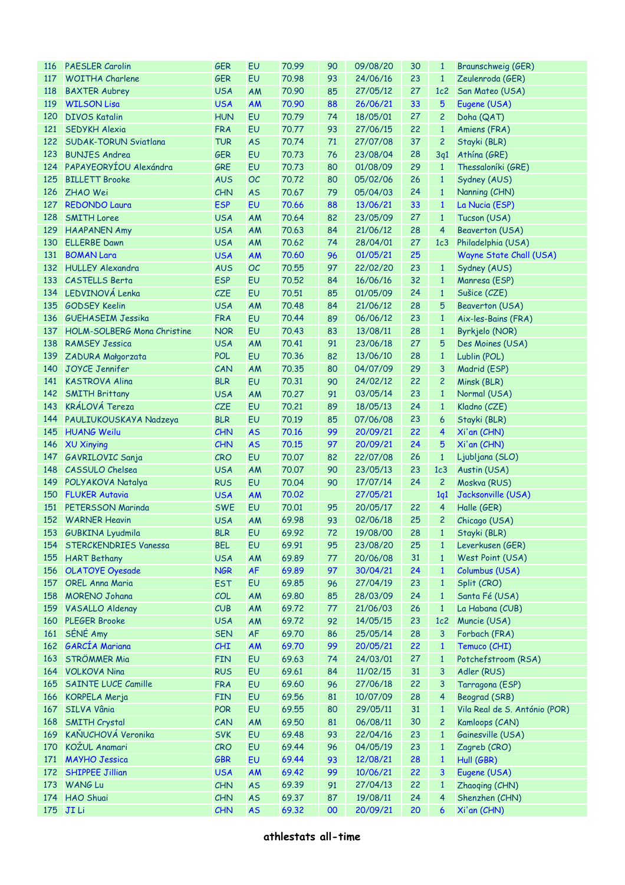| 116 | <b>PAESLER Carolin</b>              | <b>GER</b> | EU        | 70.99 | 90 | 09/08/20 | 30 | $\mathbf{1}$    | Braunschweig (GER)            |
|-----|-------------------------------------|------------|-----------|-------|----|----------|----|-----------------|-------------------------------|
| 117 | <b>WOITHA Charlene</b>              | <b>GER</b> | EU        | 70.98 | 93 | 24/06/16 | 23 | $\mathbf{1}$    | Zeulenroda (GER)              |
| 118 | <b>BAXTER Aubrey</b>                | <b>USA</b> | AM        | 70.90 | 85 | 27/05/12 | 27 | 1c2             | San Mateo (USA)               |
| 119 | <b>WILSON Lisa</b>                  | <b>USA</b> | <b>AM</b> | 70.90 | 88 | 26/06/21 | 33 | 5               | Eugene (USA)                  |
| 120 | <b>DIVOS Katalin</b>                | <b>HUN</b> | EU        | 70.79 | 74 | 18/05/01 | 27 | $\overline{c}$  | Doha (QAT)                    |
| 121 | SEDYKH Alexia                       | <b>FRA</b> | EU        | 70.77 | 93 | 27/06/15 | 22 | $\mathbf{1}$    | Amiens (FRA)                  |
|     | 122 SUDAK-TORUN Sviatlana           | <b>TUR</b> | <b>AS</b> | 70.74 | 71 | 27/07/08 | 37 | $\overline{c}$  | Stayki (BLR)                  |
| 123 | <b>BUNJES Andrea</b>                | <b>GER</b> | EU        | 70.73 | 76 | 23/08/04 | 28 | 3q1             | Athina (GRE)                  |
|     | 124 PAPAYEORYÍOU Alexándra          | GRE        | EU        | 70.73 | 80 | 01/08/09 | 29 | $\mathbf{1}$    | Thessaloníki (GRE)            |
| 125 | <b>BILLETT Brooke</b>               | <b>AUS</b> | <b>OC</b> | 70.72 | 80 | 05/02/06 | 26 | $\mathbf{1}$    | Sydney (AUS)                  |
| 126 | <b>ZHAO Wei</b>                     | CHN        | <b>AS</b> | 70.67 | 79 | 05/04/03 | 24 | $\mathbf{1}$    | Nanning (CHN)                 |
| 127 | <b>REDONDO Laura</b>                | <b>ESP</b> | EU        | 70.66 | 88 | 13/06/21 | 33 | $\mathbf{1}$    | La Nucia (ESP)                |
| 128 | <b>SMITH Loree</b>                  | <b>USA</b> | AM        | 70.64 | 82 | 23/05/09 | 27 | $\mathbf{1}$    | Tucson (USA)                  |
| 129 | <b>HAAPANEN Amy</b>                 | <b>USA</b> | AM        | 70.63 | 84 | 21/06/12 | 28 | $\overline{4}$  | <b>Beaverton (USA)</b>        |
| 130 | <b>ELLERBE Dawn</b>                 | <b>USA</b> | AM        | 70.62 | 74 | 28/04/01 | 27 | 1c <sub>3</sub> | Philadelphia (USA)            |
| 131 | <b>BOMAN Lara</b>                   | <b>USA</b> | <b>AM</b> | 70.60 | 96 | 01/05/21 | 25 |                 | Wayne State Chall (USA)       |
|     | 132 HULLEY Alexandra                | <b>AUS</b> | <b>OC</b> | 70.55 | 97 | 22/02/20 | 23 | $\mathbf{1}$    | Sydney (AUS)                  |
|     | 133 CASTELLS Berta                  | <b>ESP</b> | <b>EU</b> | 70.52 | 84 | 16/06/16 | 32 | $\mathbf{1}$    | Manresa (ESP)                 |
|     | 134 LEDVINOVÁ Lenka                 | CZE        | EU        | 70.51 | 85 | 01/05/09 | 24 | $\mathbf{1}$    | Sušice (CZE)                  |
| 135 | <b>GODSEY Keelin</b>                | <b>USA</b> | AM        | 70.48 | 84 | 21/06/12 | 28 | 5               | <b>Beaverton (USA)</b>        |
| 136 | <b>GUEHASEIM Jessika</b>            | <b>FRA</b> | EU        | 70.44 | 89 | 06/06/12 | 23 | $\mathbf{1}$    | Aix-les-Bains (FRA)           |
| 137 | HOLM-SOLBERG Mona Christine         | <b>NOR</b> | <b>EU</b> | 70.43 | 83 | 13/08/11 | 28 | $\mathbf{1}$    | Byrkjelo (NOR)                |
| 138 | <b>RAMSEY Jessica</b>               | <b>USA</b> | AM        | 70.41 | 91 | 23/06/18 | 27 | 5               | Des Moines (USA)              |
| 139 |                                     | <b>POL</b> | EU        | 70.36 | 82 | 13/06/10 | 28 | $\mathbf{1}$    |                               |
| 140 | ZADURA Małgorzata<br>JOYCE Jennifer | CAN        | AM        | 70.35 | 80 | 04/07/09 | 29 | 3               | Lublin (POL)                  |
|     |                                     |            | <b>EU</b> |       |    |          |    |                 | Madrid (ESP)                  |
| 141 | <b>KASTROVA Alina</b>               | <b>BLR</b> |           | 70.31 | 90 | 24/02/12 | 22 | $\overline{c}$  | Minsk (BLR)                   |
| 142 | <b>SMITH Brittany</b>               | <b>USA</b> | AM        | 70.27 | 91 | 03/05/14 | 23 | $\mathbf{1}$    | Normal (USA)                  |
| 143 | <b>KRÁLOVÁ Tereza</b>               | CZE        | EU        | 70.21 | 89 | 18/05/13 | 24 | $\mathbf{1}$    | Kladno (CZE)                  |
| 144 | PAULIUKOUSKAYA Nadzeya              | <b>BLR</b> | EU        | 70.19 | 85 | 07/06/08 | 23 | 6               | Stayki (BLR)                  |
| 145 | <b>HUANG Weilu</b>                  | <b>CHN</b> | <b>AS</b> | 70.16 | 99 | 20/09/21 | 22 | 4               | Xi'an (CHN)                   |
| 146 | XU Xinying                          | <b>CHN</b> | <b>AS</b> | 70.15 | 97 | 20/09/21 | 24 | 5               | Xi'an (CHN)                   |
| 147 | GAVRILOVIC Sanja                    | CRO        | EU        | 70.07 | 82 | 22/07/08 | 26 | $\mathbf{1}$    | Ljubljana (SLO)               |
| 148 | <b>CASSULO Chelsea</b>              | <b>USA</b> | AM        | 70.07 | 90 | 23/05/13 | 23 | 1c3             | Austin (USA)                  |
| 149 | POLYAKOVA Natalya                   | <b>RUS</b> | <b>EU</b> | 70.04 | 90 | 17/07/14 | 24 | $\overline{c}$  | Moskva (RUS)                  |
|     | 150 FLUKER Autavia                  | <b>USA</b> | <b>AM</b> | 70.02 |    | 27/05/21 |    | 1q1             | Jacksonville (USA)            |
| 151 | <b>PETERSSON Marinda</b>            | <b>SWE</b> | EU        | 70.01 | 95 | 20/05/17 | 22 | 4               | Halle (GER)                   |
|     | 152 WARNER Heavin                   | <b>USA</b> | AM        | 69.98 | 93 | 02/06/18 | 25 | $\overline{c}$  | Chicago (USA)                 |
|     | 153 GUBKINA Lyudmila                | <b>BLR</b> | EU        | 69.92 | 72 | 19/08/00 |    |                 | 28 1 Stayki (BLR)             |
|     | 154 STERCKENDRIES Vanessa           | <b>BEL</b> | EU        | 69.91 | 95 | 23/08/20 | 25 | $\mathbf{1}$    | Leverkusen (GER)              |
| 155 | <b>HART Bethany</b>                 | <b>USA</b> | AM        | 69.89 | 77 | 20/06/08 | 31 | $\mathbf{1}$    | West Point (USA)              |
| 156 | <b>OLATOYE Oyesade</b>              | <b>NGR</b> | <b>AF</b> | 69.89 | 97 | 30/04/21 | 24 | $\mathbf{1}$    | Columbus (USA)                |
| 157 | <b>OREL Anna Maria</b>              | <b>EST</b> | EU        | 69.85 | 96 | 27/04/19 | 23 | $\mathbf{1}$    | Split (CRO)                   |
| 158 | <b>MORENO Johana</b>                | COL        | AM        | 69.80 | 85 | 28/03/09 | 24 | $\mathbf{1}$    | Santa Fé (USA)                |
| 159 | <b>VASALLO Aldenay</b>              | CUB        | AM        | 69.72 | 77 | 21/06/03 | 26 | $\mathbf{1}$    | La Habana (CUB)               |
| 160 | <b>PLEGER Brooke</b>                | <b>USA</b> | AM        | 69.72 | 92 | 14/05/15 | 23 | 1c2             | Muncie (USA)                  |
| 161 | SÉNÉ Amy                            | <b>SEN</b> | AF        | 69.70 | 86 | 25/05/14 | 28 | 3               | Forbach (FRA)                 |
|     | 162 GARCÍA Mariana                  | CHI        | AM        | 69.70 | 99 | 20/05/21 | 22 | $\mathbf{1}$    | Temuco (CHI)                  |
| 163 | <b>STRÖMMER Mia</b>                 | <b>FIN</b> | EU        | 69.63 | 74 | 24/03/01 | 27 | $\mathbf{1}$    | Potchefstroom (RSA)           |
| 164 | <b>VOLKOVA Nina</b>                 | <b>RUS</b> | EU        | 69.61 | 84 | 11/02/15 | 31 | 3               | Adler (RUS)                   |
| 165 | <b>SAINTE LUCE Camille</b>          | <b>FRA</b> | EU        | 69.60 | 96 | 27/06/18 | 22 | 3               | Tarragona (ESP)               |
| 166 | KORPELA Merja                       | <b>FIN</b> | EU        | 69.56 | 81 | 10/07/09 | 28 | 4               | Beograd (SRB)                 |
| 167 | SILVA Vânia                         | POR        | EU        | 69.55 | 80 | 29/05/11 | 31 | $\mathbf{1}$    | Vila Real de S. António (POR) |
| 168 | <b>SMITH Crystal</b>                | CAN        | AM        | 69.50 | 81 | 06/08/11 | 30 | $\overline{c}$  | Kamloops (CAN)                |
| 169 | KAŇUCHOVÁ Veronika                  | <b>SVK</b> | EU        | 69.48 | 93 | 22/04/16 | 23 | $\mathbf{1}$    | Gainesville (USA)             |
| 170 | KOŽUL Anamari                       | CRO        | EU        | 69.44 | 96 | 04/05/19 | 23 | $\mathbf{1}$    | Zagreb (CRO)                  |
| 171 | <b>MAYHO Jessica</b>                | GBR        | EU        | 69.44 | 93 | 12/08/21 | 28 | $\mathbf{1}$    | Hull (GBR)                    |
| 172 | SHIPPEE Jillian                     | <b>USA</b> | AM        | 69.42 | 99 | 10/06/21 | 22 | 3               | Eugene (USA)                  |
| 173 | WANG Lu                             | CHN        | <b>AS</b> | 69.39 | 91 | 27/04/13 | 22 | $\mathbf{1}$    | Zhaoqing (CHN)                |
| 174 | HAO Shuai                           | CHN        | <b>AS</b> | 69.37 | 87 | 19/08/11 | 24 | 4               | Shenzhen (CHN)                |
| 175 | JI Li                               | <b>CHN</b> | <b>AS</b> | 69.32 | 00 | 20/09/21 | 20 | 6               | Xi'an (CHN)                   |
|     |                                     |            |           |       |    |          |    |                 |                               |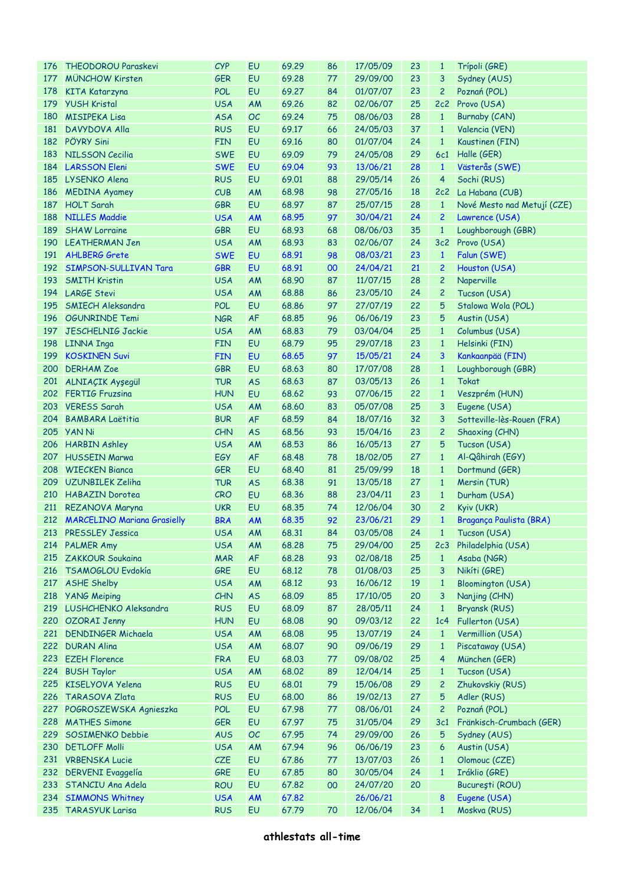| 176 | THEODOROU Paraskevi             | <b>CYP</b> | EU        | 69.29 | 86 | 17/05/09 | 23 | $\mathbf{1}$    | Trípoli (GRE)               |
|-----|---------------------------------|------------|-----------|-------|----|----------|----|-----------------|-----------------------------|
| 177 | <b>MÜNCHOW Kirsten</b>          | <b>GER</b> | <b>EU</b> | 69.28 | 77 | 29/09/00 | 23 | 3               | Sydney (AUS)                |
| 178 | KITA Katarzyna                  | POL        | <b>EU</b> | 69.27 | 84 | 01/07/07 | 23 | $\overline{c}$  | Poznań (POL)                |
| 179 | <b>YUSH Kristal</b>             | <b>USA</b> | AM        | 69.26 | 82 | 02/06/07 | 25 |                 | 2c2 Provo (USA)             |
| 180 | <b>MISIPEKA Lisa</b>            | <b>ASA</b> | OC        | 69.24 | 75 | 08/06/03 | 28 | $\mathbf{1}$    | Burnaby (CAN)               |
| 181 | DAVYDOVA Alla                   | <b>RUS</b> | <b>EU</b> | 69.17 | 66 | 24/05/03 | 37 | $\mathbf{1}$    | Valencia (VEN)              |
|     | 182 PÖYRY Sini                  | <b>FIN</b> | <b>EU</b> | 69.16 | 80 | 01/07/04 | 24 | $\mathbf{1}$    | Kaustinen (FIN)             |
| 183 | <b>NILSSON Cecilia</b>          | <b>SWE</b> | <b>EU</b> | 69.09 | 79 | 24/05/08 | 29 |                 | 6c1 Halle (GER)             |
|     | 184 LARSSON Eleni               | <b>SWE</b> | <b>EU</b> | 69.04 | 93 | 13/06/21 | 28 | $\mathbf{1}$    | Västerås (SWE)              |
|     | 185 LYSENKO Alena               | <b>RUS</b> | <b>EU</b> | 69.01 | 88 | 29/05/14 | 26 | 4               | Sochi (RUS)                 |
| 186 | <b>MEDINA Ayamey</b>            | CUB        | AM        | 68.98 | 98 | 27/05/16 | 18 |                 | 2c2 La Habana (CUB)         |
| 187 | <b>HOLT Sarah</b>               | <b>GBR</b> | <b>EU</b> | 68.97 | 87 | 25/07/15 | 28 | $\mathbf{1}$    | Nové Mesto nad Metují (CZE) |
| 188 | NILLES Maddie                   | <b>USA</b> | <b>AM</b> | 68.95 | 97 | 30/04/21 | 24 | 2               | Lawrence (USA)              |
| 189 | <b>SHAW Lorraine</b>            | <b>GBR</b> | EU        | 68.93 | 68 | 08/06/03 | 35 | $\mathbf{1}$    | Loughborough (GBR)          |
|     | 190 LEATHERMAN Jen              | <b>USA</b> | AM        | 68.93 | 83 | 02/06/07 | 24 |                 | 3c2 Provo (USA)             |
| 191 | <b>AHLBERG Grete</b>            | <b>SWE</b> | <b>EU</b> | 68.91 | 98 | 08/03/21 | 23 | $\mathbf{1}$    | Falun (SWE)                 |
|     | 192 SIMPSON-SULLIVAN Tara       | GBR        | <b>EU</b> | 68.91 | 00 | 24/04/21 | 21 | 2               | Houston (USA)               |
|     |                                 |            |           |       |    |          |    | $\overline{c}$  |                             |
| 193 | <b>SMITH Kristin</b>            | <b>USA</b> | AM        | 68.90 | 87 | 11/07/15 | 28 |                 | Naperville                  |
|     | 194 LARGE Stevi                 | <b>USA</b> | AM        | 68.88 | 86 | 23/05/10 | 24 | 2               | Tucson (USA)                |
| 195 | <b>SMIECH Aleksandra</b>        | POL        | <b>EU</b> | 68.86 | 97 | 27/07/19 | 22 | 5               | Stalowa Wola (POL)          |
|     | 196 OGUNRINDE Temi              | <b>NGR</b> | <b>AF</b> | 68.85 | 96 | 06/06/19 | 23 | 5               | Austin (USA)                |
| 197 | JESCHELNIG Jackie               | <b>USA</b> | AM        | 68.83 | 79 | 03/04/04 | 25 | $\mathbf{1}$    | Columbus (USA)              |
| 198 | <b>LINNA Inga</b>               | <b>FIN</b> | <b>EU</b> | 68.79 | 95 | 29/07/18 | 23 | $\mathbf{1}$    | Helsinki (FIN)              |
| 199 | <b>KOSKINEN Suvi</b>            | <b>FIN</b> | <b>EU</b> | 68.65 | 97 | 15/05/21 | 24 | 3               | Kankaanpää (FIN)            |
| 200 | <b>DERHAM Zoe</b>               | <b>GBR</b> | <b>EU</b> | 68.63 | 80 | 17/07/08 | 28 | $\mathbf{1}$    | Loughborough (GBR)          |
|     | 201 ALNIAÇIK Ayşegül            | <b>TUR</b> | <b>AS</b> | 68.63 | 87 | 03/05/13 | 26 | $\mathbf{1}$    | Tokat                       |
|     | 202 FERTIG Fruzsina             | <b>HUN</b> | <b>EU</b> | 68.62 | 93 | 07/06/15 | 22 | $\mathbf{1}$    | Veszprém (HUN)              |
| 203 | <b>VERESS Sarah</b>             | <b>USA</b> | AM        | 68.60 | 83 | 05/07/08 | 25 | 3               | Eugene (USA)                |
| 204 | <b>BAMBARA Laëtitia</b>         | <b>BUR</b> | <b>AF</b> | 68.59 | 84 | 18/07/16 | 32 | 3               | Sotteville-lès-Rouen (FRA)  |
| 205 | <b>YAN Ni</b>                   | CHN        | <b>AS</b> | 68.56 | 93 | 15/04/16 | 23 | 2               | Shaoxing (CHN)              |
| 206 | <b>HARBIN Ashley</b>            | <b>USA</b> | AM        | 68.53 | 86 | 16/05/13 | 27 | 5               | Tucson (USA)                |
|     | 207 HUSSEIN Marwa               | EGY        | <b>AF</b> | 68.48 | 78 | 18/02/05 | 27 | $\mathbf{1}$    | Al-Qâhirah (EGY)            |
|     | 208 WIECKEN Bianca              | <b>GER</b> | <b>EU</b> | 68.40 | 81 | 25/09/99 | 18 | $\mathbf{1}$    | Dortmund (GER)              |
|     | 209 UZUNBILEK Zeliha            | <b>TUR</b> | <b>AS</b> | 68.38 | 91 | 13/05/18 | 27 | $\mathbf{1}$    | Mersin (TUR)                |
|     | 210 HABAZIN Dorotea             | CRO        | <b>EU</b> | 68.36 | 88 | 23/04/11 | 23 | $\mathbf{1}$    | Durham (USA)                |
| 211 | REZANOVA Maryna                 | <b>UKR</b> | <b>EU</b> | 68.35 | 74 | 12/06/04 | 30 | $\overline{c}$  | Kyiv (UKR)                  |
|     | 212 MARCELINO Mariana Grasielly | <b>BRA</b> | <b>AM</b> | 68.35 | 92 | 23/06/21 | 29 | $\mathbf{1}$    | Bragança Paulista (BRA)     |
|     | 213 PRESSLEY Jessica            | <b>USA</b> | AM        | 68.31 | 84 | 03/05/08 | 24 |                 | 1 Tucson (USA)              |
|     | 214 PALMER Amy                  | <b>USA</b> | AM        | 68.28 | 75 | 29/04/00 | 25 | 2c <sub>3</sub> | Philadelphia (USA)          |
|     | 215 ZAKKOUR Soukaina            | <b>MAR</b> | <b>AF</b> | 68.28 | 93 | 02/08/18 | 25 | $\mathbf{1}$    | Asaba (NGR)                 |
| 216 | TSAMOGLOU Evdokía               | GRE        | EU        | 68.12 | 78 | 01/08/03 | 25 | 3               | Nikíti (GRE)                |
| 217 | <b>ASHE Shelby</b>              | <b>USA</b> | AM        | 68.12 | 93 | 16/06/12 | 19 | $\mathbf{1}$    | <b>Bloomington (USA)</b>    |
| 218 | <b>YANG Meiping</b>             | CHN        | <b>AS</b> | 68.09 | 85 | 17/10/05 | 20 | 3               | Nanjing (CHN)               |
|     | 219 LUSHCHENKO Aleksandra       | <b>RUS</b> | EU        | 68.09 | 87 | 28/05/11 | 24 | $\mathbf{1}$    | Bryansk (RUS)               |
|     | 220 OZORAI Jenny                | <b>HUN</b> | <b>EU</b> | 68.08 | 90 | 09/03/12 | 22 | 1c <sub>4</sub> | Fullerton (USA)             |
|     | 221 DENDINGER Michaela          | <b>USA</b> | AM        | 68.08 | 95 | 13/07/19 | 24 | $\mathbf{1}$    | Vermillion (USA)            |
|     | 222 DURAN Alina                 | <b>USA</b> | AM        | 68.07 | 90 | 09/06/19 | 29 | $\mathbf{1}$    | Piscataway (USA)            |
|     | 223 EZEH Florence               | <b>FRA</b> | EU        | 68.03 | 77 | 09/08/02 | 25 | 4               | München (GER)               |
|     | 224 BUSH Taylor                 | <b>USA</b> | AM        | 68.02 | 89 | 12/04/14 | 25 | $\mathbf{1}$    | Tucson (USA)                |
| 225 | KISELYOVA Yelena                | <b>RUS</b> | <b>EU</b> | 68.01 | 79 | 15/06/08 | 29 | 2               | Zhukovskiy (RUS)            |
| 226 | <b>TARASOVA Zlata</b>           | <b>RUS</b> | EU        | 68,00 | 86 | 19/02/13 | 27 | 5               |                             |
|     |                                 |            |           |       |    |          |    |                 | Adler (RUS)                 |
| 227 | POGROSZEWSKA Agnieszka          | POL        | EU        | 67.98 | 77 | 08/06/01 | 24 | 2               | Poznań (POL)                |
| 228 | <b>MATHES Simone</b>            | GER        | <b>EU</b> | 67.97 | 75 | 31/05/04 | 29 | 3c1             | Fränkisch-Crumbach (GER)    |
| 229 | <b>SOSIMENKO Debbie</b>         | <b>AUS</b> | OC        | 67.95 | 74 | 29/09/00 | 26 | 5               | Sydney (AUS)                |
| 230 | <b>DETLOFF Molli</b>            | <b>USA</b> | AM        | 67.94 | 96 | 06/06/19 | 23 | 6               | Austin (USA)                |
| 231 | <b>VRBENSKA Lucie</b>           | CZE        | EU        | 67.86 | 77 | 13/07/03 | 26 | $\mathbf{1}$    | Olomouc (CZE)               |
| 232 | <b>DERVENI</b> Evaggelía        | GRE        | <b>EU</b> | 67.85 | 80 | 30/05/04 | 24 | $\mathbf{1}$    | Iráklio (GRE)               |
|     | 233 STANCIU Ana Adela           | <b>ROU</b> | <b>EU</b> | 67.82 | 00 | 24/07/20 | 20 |                 | București (ROU)             |
| 234 | <b>SIMMONS Whitney</b>          | <b>USA</b> | AM        | 67.82 |    | 26/06/21 |    | 8               | Eugene (USA)                |
| 235 | <b>TARASYUK Larisa</b>          | <b>RUS</b> | EU        | 67.79 | 70 | 12/06/04 | 34 | $\mathbf{1}$    | Moskva (RUS)                |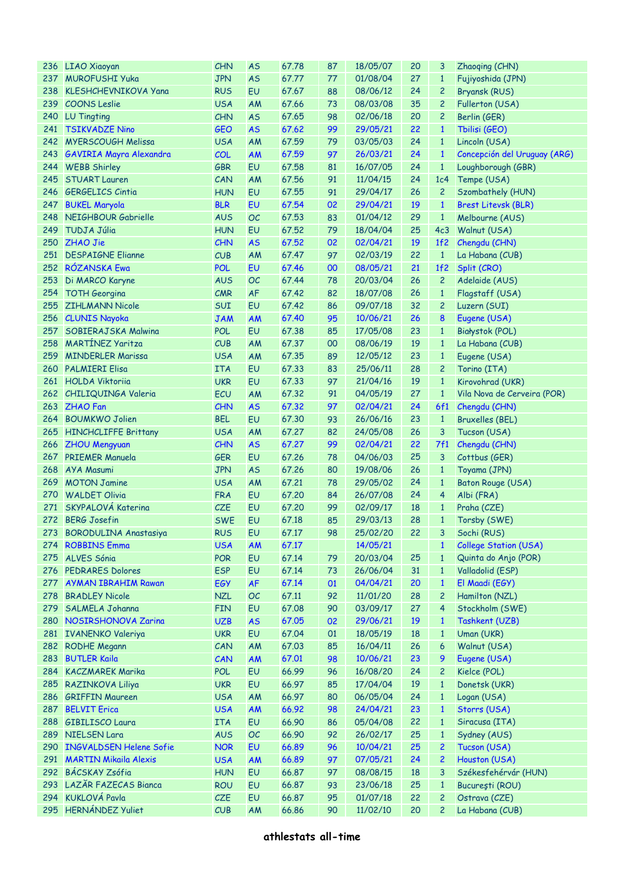|     | 236 LIAO Xiaoyan               | CHN        | <b>AS</b> | 67.78 | 87 | 18/05/07 | 20 | 3               | Zhaoqing (CHN)               |
|-----|--------------------------------|------------|-----------|-------|----|----------|----|-----------------|------------------------------|
| 237 | <b>MUROFUSHI Yuka</b>          | <b>JPN</b> | <b>AS</b> | 67.77 | 77 | 01/08/04 | 27 | $\mathbf{1}$    | Fujiyoshida (JPN)            |
| 238 | <b>KLESHCHEVNIKOVA Yana</b>    | <b>RUS</b> | EU        | 67.67 | 88 | 08/06/12 | 24 | $\overline{c}$  | Bryansk (RUS)                |
| 239 | <b>COONS</b> Leslie            | <b>USA</b> | AM        | 67.66 | 73 | 08/03/08 | 35 | $\overline{c}$  | Fullerton (USA)              |
| 240 | LU Tingting                    | <b>CHN</b> | <b>AS</b> | 67.65 | 98 | 02/06/18 | 20 | $\overline{c}$  | Berlin (GER)                 |
| 241 | <b>TSIKVADZE Nino</b>          | <b>GEO</b> | <b>AS</b> | 67.62 | 99 | 29/05/21 | 22 | $\mathbf{1}$    | Tbilisi (GEO)                |
|     | 242 MYERSCOUGH Melissa         | <b>USA</b> | AM        | 67.59 | 79 | 03/05/03 | 24 | $\mathbf{1}$    | Lincoln (USA)                |
| 243 | <b>GAVIRIA Mayra Alexandra</b> | COL        | AM        | 67.59 | 97 | 26/03/21 | 24 | $\mathbf{1}$    | Concepción del Uruguay (ARG) |
|     | 244 WEBB Shirley               | <b>GBR</b> | <b>EU</b> | 67.58 | 81 | 16/07/05 | 24 | $\mathbf{1}$    | Loughborough (GBR)           |
| 245 | <b>STUART Lauren</b>           | CAN        | AM        | 67.56 | 91 | 11/04/15 | 24 | 1c <sub>4</sub> | Tempe (USA)                  |
| 246 | <b>GERGELICS Cintia</b>        | <b>HUN</b> | <b>EU</b> | 67.55 | 91 | 29/04/17 | 26 | $\overline{c}$  | Szombathely (HUN)            |
| 247 |                                | <b>BLR</b> | EU        | 67.54 | 02 | 29/04/21 | 19 | $\mathbf{1}$    |                              |
|     | <b>BUKEL Maryola</b>           |            |           |       |    |          |    |                 | <b>Brest Litevsk (BLR)</b>   |
| 248 | NEIGHBOUR Gabrielle            | <b>AUS</b> | <b>OC</b> | 67.53 | 83 | 01/04/12 | 29 | $\mathbf{1}$    | Melbourne (AUS)              |
| 249 | <b>TUDJA Júlia</b>             | <b>HUN</b> | <b>EU</b> | 67.52 | 79 | 18/04/04 | 25 | 4c <sub>3</sub> | Walnut (USA)                 |
| 250 | ZHAO Jie                       | <b>CHN</b> | <b>AS</b> | 67.52 | 02 | 02/04/21 | 19 | 1f2             | Chengdu (CHN)                |
| 251 | <b>DESPAIGNE Elianne</b>       | CUB        | AM        | 67.47 | 97 | 02/03/19 | 22 | $\mathbf{1}$    | La Habana (CUB)              |
|     | 252 RÓZANSKA Ewa               | <b>POL</b> | <b>EU</b> | 67.46 | 00 | 08/05/21 | 21 | 1f2             | Split (CRO)                  |
| 253 | Di MARCO Karyne                | <b>AUS</b> | <b>OC</b> | 67.44 | 78 | 20/03/04 | 26 | $\overline{c}$  | Adelaide (AUS)               |
| 254 | <b>TOTH Georgina</b>           | CMR        | <b>AF</b> | 67.42 | 82 | 18/07/08 | 26 | $\mathbf{1}$    | Flagstaff (USA)              |
| 255 | <b>ZIHLMANN Nicole</b>         | SUI        | <b>EU</b> | 67.42 | 86 | 09/07/18 | 32 | $\overline{c}$  | Luzern (SUI)                 |
|     | 256 CLUNIS Nayoka              | <b>JAM</b> | <b>AM</b> | 67.40 | 95 | 10/06/21 | 26 | 8               | Eugene (USA)                 |
| 257 | SOBIERAJSKA Malwina            | POL        | <b>EU</b> | 67.38 | 85 | 17/05/08 | 23 | $\mathbf{1}$    | Białystok (POL)              |
| 258 | <b>MARTÍNEZ Yaritza</b>        | CUB        | AM        | 67.37 | 00 | 08/06/19 | 19 | $\mathbf{1}$    | La Habana (CUB)              |
| 259 | <b>MINDERLER Marissa</b>       | <b>USA</b> | AM        | 67.35 | 89 | 12/05/12 | 23 | $\mathbf{1}$    | Eugene (USA)                 |
| 260 | <b>PALMIERI Elisa</b>          | <b>ITA</b> | <b>EU</b> | 67.33 | 83 | 25/06/11 | 28 | $\overline{c}$  | Torino (ITA)                 |
|     | 261 HOLDA Viktoriia            | <b>UKR</b> | <b>EU</b> | 67.33 | 97 | 21/04/16 | 19 | $\mathbf{1}$    | Kirovohrad (UKR)             |
|     | 262 CHILIQUINGA Valeria        | ECU        | AM        | 67.32 | 91 | 04/05/19 | 27 | $\mathbf{1}$    | Vila Nova de Cerveira (POR)  |
|     | 263 ZHAO Fan                   | <b>CHN</b> | <b>AS</b> | 67.32 | 97 | 02/04/21 | 24 | 6f1             | Chengdu (CHN)                |
| 264 | <b>BOUMKWO Jolien</b>          | <b>BEL</b> | <b>EU</b> | 67.30 | 93 | 26/06/16 | 23 | $\mathbf{1}$    | <b>Bruxelles (BEL)</b>       |
| 265 | <b>HINCHCLIFFE Brittany</b>    | <b>USA</b> | AM        | 67.27 | 82 | 24/05/08 | 26 | 3               | Tucson (USA)                 |
|     | 266 ZHOU Mengyuan              | CHN        | <b>AS</b> | 67.27 | 99 | 02/04/21 | 22 | 7f1             | Chengdu (CHN)                |
| 267 | <b>PRIEMER Manuela</b>         | <b>GER</b> | <b>EU</b> | 67.26 | 78 | 04/06/03 | 25 | 3               | Cottbus (GER)                |
| 268 | AYA Masumi                     | <b>JPN</b> | <b>AS</b> | 67.26 | 80 | 19/08/06 | 26 | $\mathbf{1}$    | Toyama (JPN)                 |
| 269 | <b>MOTON Jamine</b>            | <b>USA</b> | AM        | 67.21 | 78 | 29/05/02 | 24 | $\mathbf{1}$    | Baton Rouge (USA)            |
| 270 | <b>WALDET Olivia</b>           | <b>FRA</b> | <b>EU</b> | 67,20 | 84 | 26/07/08 | 24 | 4               |                              |
| 271 | SKYPALOVÁ Katerina             |            | <b>EU</b> |       |    |          |    |                 | Albi (FRA)                   |
|     |                                | CZE        |           | 67.20 | 99 | 02/09/17 | 18 | $\mathbf{1}$    | Praha (CZE)                  |
|     | 272 BERG Josefin               | <b>SWE</b> | EU        | 67.18 | 85 | 29/03/13 | 28 | $\mathbf{1}$    | Torsby (SWE)                 |
|     | 273 BORODULINA Anastasiya      | <b>RUS</b> | EU        | 67.17 | 98 | 25/02/20 | 22 | 3               | Sochi (RUS)                  |
|     | 274 ROBBINS Emma               | <b>USA</b> | AM        | 67.17 |    | 14/05/21 |    | $\mathbf{1}$    | <b>College Station (USA)</b> |
| 275 | <b>ALVES Sónia</b>             | POR        | EU        | 67.14 | 79 | 20/03/04 | 25 | $\mathbf{1}$    | Quinta do Anjo (POR)         |
| 276 | <b>PEDRARES Dolores</b>        | <b>ESP</b> | EU        | 67.14 | 73 | 26/06/04 | 31 | $\mathbf{1}$    | Valladolid (ESP)             |
| 277 | <b>AYMAN IBRAHIM Rawan</b>     | EGY        | <b>AF</b> | 67.14 | 01 | 04/04/21 | 20 | $\mathbf{1}$    | El Maadi (EGY)               |
| 278 | <b>BRADLEY Nicole</b>          | <b>NZL</b> | OC        | 67.11 | 92 | 11/01/20 | 28 | $\overline{c}$  | Hamilton (NZL)               |
| 279 | <b>SALMELA Johanna</b>         | <b>FIN</b> | EU        | 67.08 | 90 | 03/09/17 | 27 | 4               | Stockholm (SWE)              |
| 280 | NOSIRSHONOVA Zarina            | <b>UZB</b> | <b>AS</b> | 67.05 | 02 | 29/06/21 | 19 | $\mathbf{1}$    | Tashkent (UZB)               |
|     | 281 IVANENKO Valeriya          | <b>UKR</b> | EU        | 67.04 | 01 | 18/05/19 | 18 | $\mathbf{1}$    | Uman (UKR)                   |
|     | 282 RODHE Megann               | CAN        | AM        | 67.03 | 85 | 16/04/11 | 26 | 6               | Walnut (USA)                 |
| 283 | <b>BUTLER Kaila</b>            | CAN        | <b>AM</b> | 67.01 | 98 | 10/06/21 | 23 | 9               | Eugene (USA)                 |
|     | 284 KACZMAREK Marika           | POL        | EU        | 66.99 | 96 | 16/08/20 | 24 | $\overline{c}$  | Kielce (POL)                 |
| 285 | RAZINKOVA Liliya               | <b>UKR</b> | EU        | 66.97 | 85 | 17/04/04 | 19 | $\mathbf{1}$    | Donetsk (UKR)                |
| 286 | <b>GRIFFIN Maureen</b>         | <b>USA</b> | AM        | 66.97 | 80 | 06/05/04 | 24 | $\mathbf{1}$    | Logan (USA)                  |
|     | 287 BELVIT Erica               | <b>USA</b> | AM        | 66.92 | 98 | 24/04/21 | 23 | $\mathbf{1}$    | Storrs (USA)                 |
| 288 | <b>GIBILISCO Laura</b>         | ITA        | EU        | 66.90 | 86 | 05/04/08 | 22 | $\mathbf{1}$    | Siracusa (ITA)               |
|     | 289 NIELSEN Lara               | <b>AUS</b> | OC        | 66.90 | 92 | 26/02/17 | 25 | $\mathbf{1}$    | Sydney (AUS)                 |
| 290 | <b>INGVALDSEN Helene Sofie</b> | <b>NOR</b> | EU        | 66.89 | 96 | 10/04/21 | 25 | $\overline{c}$  | Tucson (USA)                 |
|     | 291 MARTIN Mikaila Alexis      | <b>USA</b> | <b>AM</b> | 66.89 | 97 | 07/05/21 | 24 | $\overline{c}$  | Houston (USA)                |
| 292 | BÁCSKAY Zsófia                 | <b>HUN</b> | EU        | 66.87 | 97 | 08/08/15 | 18 | 3               | Székesfehérvár (HUN)         |
|     | 293 LAZĂR FAZECAS Bianca       | <b>ROU</b> | EU        | 66.87 | 93 | 23/06/18 | 25 | $\mathbf{1}$    | București (ROU)              |
| 294 | KUKLOVÁ Pavla                  | CZE        | EU        | 66.87 |    | 01/07/18 | 22 | $\overline{c}$  |                              |
| 295 |                                |            |           |       | 95 |          |    |                 | Ostrava (CZE)                |
|     | <b>HERNÁNDEZ Yuliet</b>        | CUB        | AM        | 66.86 | 90 | 11/02/10 | 20 | $\overline{c}$  | La Habana (CUB)              |